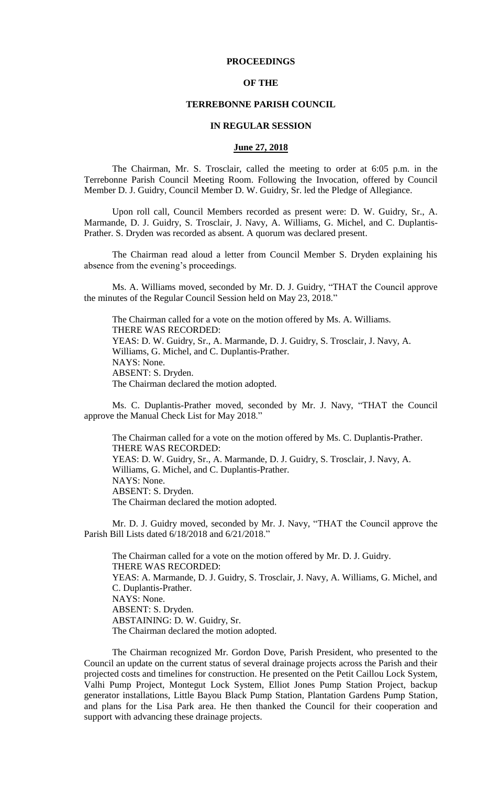## **PROCEEDINGS**

## **OF THE**

#### **TERREBONNE PARISH COUNCIL**

#### **IN REGULAR SESSION**

### **June 27, 2018**

The Chairman, Mr. S. Trosclair, called the meeting to order at 6:05 p.m. in the Terrebonne Parish Council Meeting Room. Following the Invocation, offered by Council Member D. J. Guidry, Council Member D. W. Guidry, Sr. led the Pledge of Allegiance.

Upon roll call, Council Members recorded as present were: D. W. Guidry, Sr., A. Marmande, D. J. Guidry, S. Trosclair, J. Navy, A. Williams, G. Michel, and C. Duplantis-Prather. S. Dryden was recorded as absent. A quorum was declared present.

The Chairman read aloud a letter from Council Member S. Dryden explaining his absence from the evening's proceedings.

Ms. A. Williams moved, seconded by Mr. D. J. Guidry, "THAT the Council approve the minutes of the Regular Council Session held on May 23, 2018."

The Chairman called for a vote on the motion offered by Ms. A. Williams. THERE WAS RECORDED: YEAS: D. W. Guidry, Sr., A. Marmande, D. J. Guidry, S. Trosclair, J. Navy, A. Williams, G. Michel, and C. Duplantis-Prather. NAYS: None. ABSENT: S. Dryden. The Chairman declared the motion adopted.

Ms. C. Duplantis-Prather moved, seconded by Mr. J. Navy, "THAT the Council approve the Manual Check List for May 2018."

The Chairman called for a vote on the motion offered by Ms. C. Duplantis-Prather. THERE WAS RECORDED: YEAS: D. W. Guidry, Sr., A. Marmande, D. J. Guidry, S. Trosclair, J. Navy, A. Williams, G. Michel, and C. Duplantis-Prather. NAYS: None. ABSENT: S. Dryden. The Chairman declared the motion adopted.

Mr. D. J. Guidry moved, seconded by Mr. J. Navy, "THAT the Council approve the Parish Bill Lists dated 6/18/2018 and 6/21/2018."

The Chairman called for a vote on the motion offered by Mr. D. J. Guidry. THERE WAS RECORDED: YEAS: A. Marmande, D. J. Guidry, S. Trosclair, J. Navy, A. Williams, G. Michel, and C. Duplantis-Prather. NAYS: None. ABSENT: S. Dryden. ABSTAINING: D. W. Guidry, Sr. The Chairman declared the motion adopted.

The Chairman recognized Mr. Gordon Dove, Parish President, who presented to the Council an update on the current status of several drainage projects across the Parish and their projected costs and timelines for construction. He presented on the Petit Caillou Lock System, Valhi Pump Project, Montegut Lock System, Elliot Jones Pump Station Project, backup generator installations, Little Bayou Black Pump Station, Plantation Gardens Pump Station, and plans for the Lisa Park area. He then thanked the Council for their cooperation and support with advancing these drainage projects.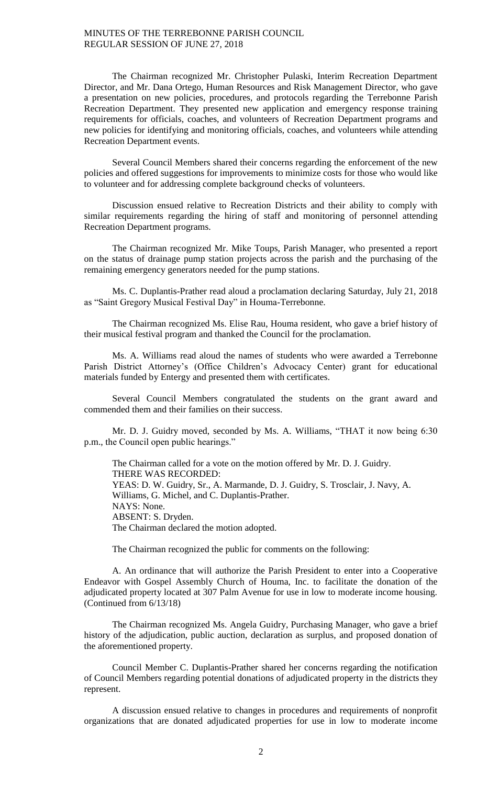The Chairman recognized Mr. Christopher Pulaski, Interim Recreation Department Director, and Mr. Dana Ortego, Human Resources and Risk Management Director, who gave a presentation on new policies, procedures, and protocols regarding the Terrebonne Parish Recreation Department. They presented new application and emergency response training requirements for officials, coaches, and volunteers of Recreation Department programs and new policies for identifying and monitoring officials, coaches, and volunteers while attending Recreation Department events.

Several Council Members shared their concerns regarding the enforcement of the new policies and offered suggestions for improvements to minimize costs for those who would like to volunteer and for addressing complete background checks of volunteers.

Discussion ensued relative to Recreation Districts and their ability to comply with similar requirements regarding the hiring of staff and monitoring of personnel attending Recreation Department programs.

The Chairman recognized Mr. Mike Toups, Parish Manager, who presented a report on the status of drainage pump station projects across the parish and the purchasing of the remaining emergency generators needed for the pump stations.

Ms. C. Duplantis-Prather read aloud a proclamation declaring Saturday, July 21, 2018 as "Saint Gregory Musical Festival Day" in Houma-Terrebonne.

The Chairman recognized Ms. Elise Rau, Houma resident, who gave a brief history of their musical festival program and thanked the Council for the proclamation.

Ms. A. Williams read aloud the names of students who were awarded a Terrebonne Parish District Attorney's (Office Children's Advocacy Center) grant for educational materials funded by Entergy and presented them with certificates.

Several Council Members congratulated the students on the grant award and commended them and their families on their success.

Mr. D. J. Guidry moved, seconded by Ms. A. Williams, "THAT it now being 6:30 p.m., the Council open public hearings."

The Chairman called for a vote on the motion offered by Mr. D. J. Guidry. THERE WAS RECORDED: YEAS: D. W. Guidry, Sr., A. Marmande, D. J. Guidry, S. Trosclair, J. Navy, A. Williams, G. Michel, and C. Duplantis-Prather. NAYS: None. ABSENT: S. Dryden. The Chairman declared the motion adopted.

The Chairman recognized the public for comments on the following:

A. An ordinance that will authorize the Parish President to enter into a Cooperative Endeavor with Gospel Assembly Church of Houma, Inc. to facilitate the donation of the adjudicated property located at 307 Palm Avenue for use in low to moderate income housing. (Continued from 6/13/18)

The Chairman recognized Ms. Angela Guidry, Purchasing Manager, who gave a brief history of the adjudication, public auction, declaration as surplus, and proposed donation of the aforementioned property.

Council Member C. Duplantis-Prather shared her concerns regarding the notification of Council Members regarding potential donations of adjudicated property in the districts they represent.

A discussion ensued relative to changes in procedures and requirements of nonprofit organizations that are donated adjudicated properties for use in low to moderate income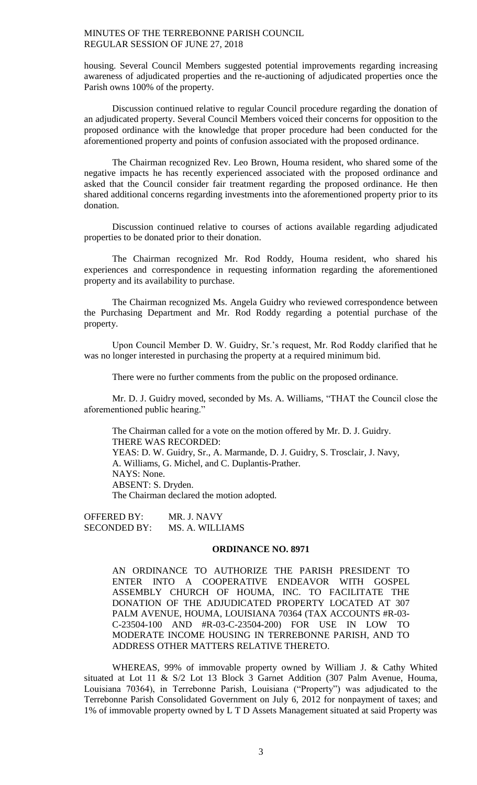housing. Several Council Members suggested potential improvements regarding increasing awareness of adjudicated properties and the re-auctioning of adjudicated properties once the Parish owns 100% of the property.

Discussion continued relative to regular Council procedure regarding the donation of an adjudicated property. Several Council Members voiced their concerns for opposition to the proposed ordinance with the knowledge that proper procedure had been conducted for the aforementioned property and points of confusion associated with the proposed ordinance.

The Chairman recognized Rev. Leo Brown, Houma resident, who shared some of the negative impacts he has recently experienced associated with the proposed ordinance and asked that the Council consider fair treatment regarding the proposed ordinance. He then shared additional concerns regarding investments into the aforementioned property prior to its donation.

Discussion continued relative to courses of actions available regarding adjudicated properties to be donated prior to their donation.

The Chairman recognized Mr. Rod Roddy, Houma resident, who shared his experiences and correspondence in requesting information regarding the aforementioned property and its availability to purchase.

The Chairman recognized Ms. Angela Guidry who reviewed correspondence between the Purchasing Department and Mr. Rod Roddy regarding a potential purchase of the property.

Upon Council Member D. W. Guidry, Sr.'s request, Mr. Rod Roddy clarified that he was no longer interested in purchasing the property at a required minimum bid.

There were no further comments from the public on the proposed ordinance.

Mr. D. J. Guidry moved, seconded by Ms. A. Williams, "THAT the Council close the aforementioned public hearing."

The Chairman called for a vote on the motion offered by Mr. D. J. Guidry. THERE WAS RECORDED: YEAS: D. W. Guidry, Sr., A. Marmande, D. J. Guidry, S. Trosclair, J. Navy, A. Williams, G. Michel, and C. Duplantis-Prather. NAYS: None. ABSENT: S. Dryden. The Chairman declared the motion adopted.

OFFERED BY: MR. J. NAVY SECONDED BY: MS. A. WILLIAMS

#### **ORDINANCE NO. 8971**

AN ORDINANCE TO AUTHORIZE THE PARISH PRESIDENT TO ENTER INTO A COOPERATIVE ENDEAVOR WITH GOSPEL ASSEMBLY CHURCH OF HOUMA, INC. TO FACILITATE THE DONATION OF THE ADJUDICATED PROPERTY LOCATED AT 307 PALM AVENUE, HOUMA, LOUISIANA 70364 (TAX ACCOUNTS #R-03- C-23504-100 AND #R-03-C-23504-200) FOR USE IN LOW TO MODERATE INCOME HOUSING IN TERREBONNE PARISH, AND TO ADDRESS OTHER MATTERS RELATIVE THERETO.

WHEREAS, 99% of immovable property owned by William J. & Cathy Whited situated at Lot 11 & S/2 Lot 13 Block 3 Garnet Addition (307 Palm Avenue, Houma, Louisiana 70364), in Terrebonne Parish, Louisiana ("Property") was adjudicated to the Terrebonne Parish Consolidated Government on July 6, 2012 for nonpayment of taxes; and 1% of immovable property owned by L T D Assets Management situated at said Property was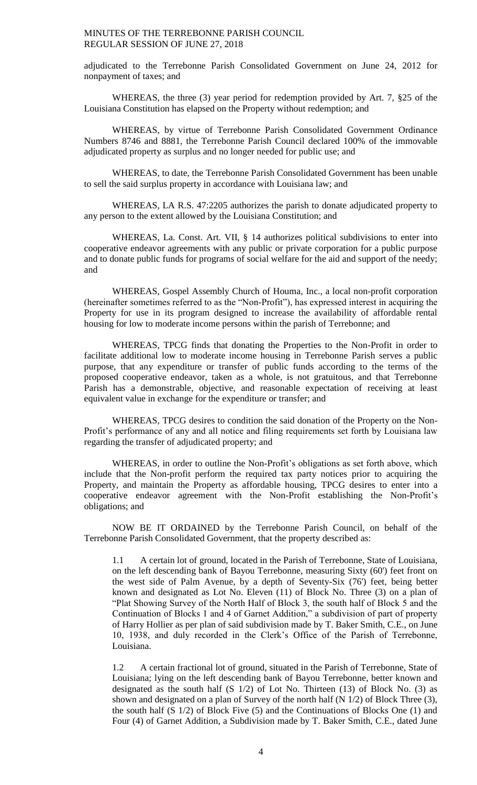adjudicated to the Terrebonne Parish Consolidated Government on June 24, 2012 for nonpayment of taxes; and

WHEREAS, the three (3) year period for redemption provided by Art. 7, §25 of the Louisiana Constitution has elapsed on the Property without redemption; and

WHEREAS, by virtue of Terrebonne Parish Consolidated Government Ordinance Numbers 8746 and 8881, the Terrebonne Parish Council declared 100% of the immovable adjudicated property as surplus and no longer needed for public use; and

WHEREAS, to date, the Terrebonne Parish Consolidated Government has been unable to sell the said surplus property in accordance with Louisiana law; and

WHEREAS, LA R.S. 47:2205 authorizes the parish to donate adjudicated property to any person to the extent allowed by the Louisiana Constitution; and

WHEREAS, La. Const. Art. VII, § 14 authorizes political subdivisions to enter into cooperative endeavor agreements with any public or private corporation for a public purpose and to donate public funds for programs of social welfare for the aid and support of the needy; and

WHEREAS, Gospel Assembly Church of Houma, Inc., a local non-profit corporation (hereinafter sometimes referred to as the "Non-Profit"), has expressed interest in acquiring the Property for use in its program designed to increase the availability of affordable rental housing for low to moderate income persons within the parish of Terrebonne; and

WHEREAS, TPCG finds that donating the Properties to the Non-Profit in order to facilitate additional low to moderate income housing in Terrebonne Parish serves a public purpose, that any expenditure or transfer of public funds according to the terms of the proposed cooperative endeavor, taken as a whole, is not gratuitous, and that Terrebonne Parish has a demonstrable, objective, and reasonable expectation of receiving at least equivalent value in exchange for the expenditure or transfer; and

WHEREAS, TPCG desires to condition the said donation of the Property on the Non-Profit's performance of any and all notice and filing requirements set forth by Louisiana law regarding the transfer of adjudicated property; and

WHEREAS, in order to outline the Non-Profit's obligations as set forth above, which include that the Non-profit perform the required tax party notices prior to acquiring the Property, and maintain the Property as affordable housing, TPCG desires to enter into a cooperative endeavor agreement with the Non-Profit establishing the Non-Profit's obligations; and

NOW BE IT ORDAINED by the Terrebonne Parish Council, on behalf of the Terrebonne Parish Consolidated Government, that the property described as:

1.1 A certain lot of ground, located in the Parish of Terrebonne, State of Louisiana, on the left descending bank of Bayou Terrebonne, measuring Sixty (60') feet front on the west side of Palm Avenue, by a depth of Seventy-Six (76') feet, being better known and designated as Lot No. Eleven (11) of Block No. Three (3) on a plan of "Plat Showing Survey of the North Half of Block 3, the south half of Block 5 and the Continuation of Blocks 1 and 4 of Garnet Addition," a subdivision of part of property of Harry Hollier as per plan of said subdivision made by T. Baker Smith, C.E., on June 10, 1938, and duly recorded in the Clerk's Office of the Parish of Terrebonne, Louisiana.

1.2 A certain fractional lot of ground, situated in the Parish of Terrebonne, State of Louisiana; lying on the left descending bank of Bayou Terrebonne, better known and designated as the south half  $(S \ 1/2)$  of Lot No. Thirteen  $(13)$  of Block No.  $(3)$  as shown and designated on a plan of Survey of the north half (N 1/2) of Block Three (3), the south half (S 1/2) of Block Five (5) and the Continuations of Blocks One (1) and Four (4) of Garnet Addition, a Subdivision made by T. Baker Smith, C.E., dated June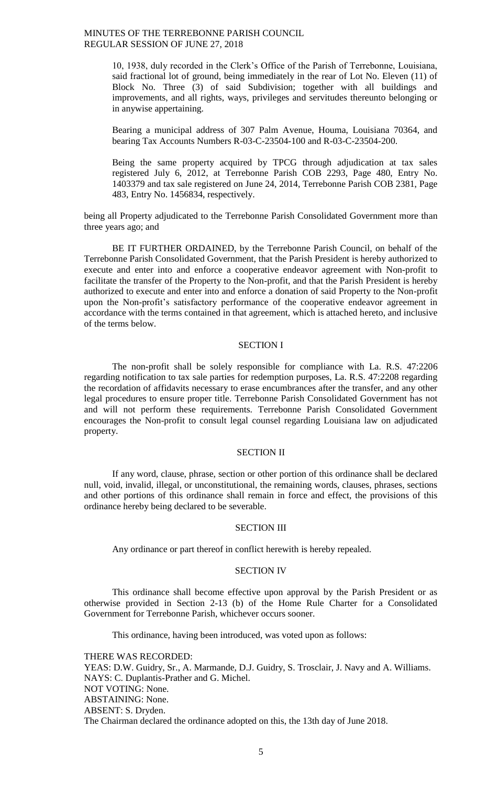> 10, 1938, duly recorded in the Clerk's Office of the Parish of Terrebonne, Louisiana, said fractional lot of ground, being immediately in the rear of Lot No. Eleven (11) of Block No. Three (3) of said Subdivision; together with all buildings and improvements, and all rights, ways, privileges and servitudes thereunto belonging or in anywise appertaining.

> Bearing a municipal address of 307 Palm Avenue, Houma, Louisiana 70364, and bearing Tax Accounts Numbers R-03-C-23504-100 and R-03-C-23504-200.

> Being the same property acquired by TPCG through adjudication at tax sales registered July 6, 2012, at Terrebonne Parish COB 2293, Page 480, Entry No. 1403379 and tax sale registered on June 24, 2014, Terrebonne Parish COB 2381, Page 483, Entry No. 1456834, respectively.

being all Property adjudicated to the Terrebonne Parish Consolidated Government more than three years ago; and

BE IT FURTHER ORDAINED, by the Terrebonne Parish Council, on behalf of the Terrebonne Parish Consolidated Government, that the Parish President is hereby authorized to execute and enter into and enforce a cooperative endeavor agreement with Non-profit to facilitate the transfer of the Property to the Non-profit, and that the Parish President is hereby authorized to execute and enter into and enforce a donation of said Property to the Non-profit upon the Non-profit's satisfactory performance of the cooperative endeavor agreement in accordance with the terms contained in that agreement, which is attached hereto, and inclusive of the terms below.

# SECTION I

The non-profit shall be solely responsible for compliance with La. R.S. 47:2206 regarding notification to tax sale parties for redemption purposes, La. R.S. 47:2208 regarding the recordation of affidavits necessary to erase encumbrances after the transfer, and any other legal procedures to ensure proper title. Terrebonne Parish Consolidated Government has not and will not perform these requirements. Terrebonne Parish Consolidated Government encourages the Non-profit to consult legal counsel regarding Louisiana law on adjudicated property.

#### SECTION II

If any word, clause, phrase, section or other portion of this ordinance shall be declared null, void, invalid, illegal, or unconstitutional, the remaining words, clauses, phrases, sections and other portions of this ordinance shall remain in force and effect, the provisions of this ordinance hereby being declared to be severable.

#### SECTION III

Any ordinance or part thereof in conflict herewith is hereby repealed.

#### SECTION IV

This ordinance shall become effective upon approval by the Parish President or as otherwise provided in Section 2-13 (b) of the Home Rule Charter for a Consolidated Government for Terrebonne Parish, whichever occurs sooner.

This ordinance, having been introduced, was voted upon as follows:

THERE WAS RECORDED: YEAS: D.W. Guidry, Sr., A. Marmande, D.J. Guidry, S. Trosclair, J. Navy and A. Williams. NAYS: C. Duplantis-Prather and G. Michel. NOT VOTING: None. ABSTAINING: None. ABSENT: S. Dryden. The Chairman declared the ordinance adopted on this, the 13th day of June 2018.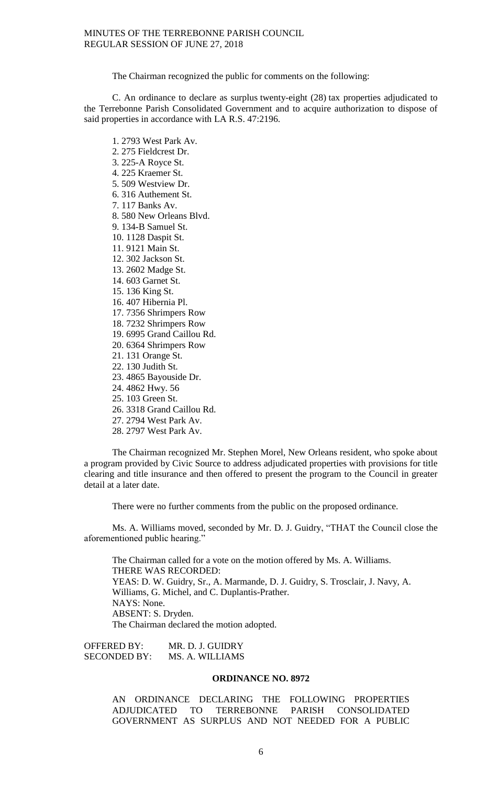The Chairman recognized the public for comments on the following:

C. An ordinance to declare as surplus twenty-eight (28) tax properties adjudicated to the Terrebonne Parish Consolidated Government and to acquire authorization to dispose of said properties in accordance with LA R.S. 47:2196.

- 1. 2793 West Park Av.
- 2. 275 Fieldcrest Dr.
- 3. 225-A Royce St.
- 4. 225 Kraemer St.
- 5. 509 Westview Dr.
- 6. 316 Authement St.
- 7. 117 Banks Av.
- 8. 580 New Orleans Blvd.
- 9. 134-B Samuel St.
- 10. 1128 Daspit St.
- 11. 9121 Main St.
- 12. 302 Jackson St.
- 13. 2602 Madge St.
- 14. 603 Garnet St.
- 15. 136 King St.
- 16. 407 Hibernia Pl.
- 17. 7356 Shrimpers Row
- 18. 7232 Shrimpers Row
- 19. 6995 Grand Caillou Rd.
- 20. 6364 Shrimpers Row
- 21. 131 Orange St.
- 22. 130 Judith St.
- 23. 4865 Bayouside Dr.
- 24. 4862 Hwy. 56
- 25. 103 Green St.
- 26. 3318 Grand Caillou Rd.
- 27. 2794 West Park Av.
- 28. 2797 West Park Av.

The Chairman recognized Mr. Stephen Morel, New Orleans resident, who spoke about a program provided by Civic Source to address adjudicated properties with provisions for title clearing and title insurance and then offered to present the program to the Council in greater detail at a later date.

There were no further comments from the public on the proposed ordinance.

Ms. A. Williams moved, seconded by Mr. D. J. Guidry, "THAT the Council close the aforementioned public hearing."

The Chairman called for a vote on the motion offered by Ms. A. Williams. THERE WAS RECORDED: YEAS: D. W. Guidry, Sr., A. Marmande, D. J. Guidry, S. Trosclair, J. Navy, A. Williams, G. Michel, and C. Duplantis-Prather. NAYS: None. ABSENT: S. Dryden. The Chairman declared the motion adopted.

OFFERED BY: MR. D. J. GUIDRY SECONDED BY: MS. A. WILLIAMS

## **ORDINANCE NO. 8972**

AN ORDINANCE DECLARING THE FOLLOWING PROPERTIES ADJUDICATED TO TERREBONNE PARISH CONSOLIDATED GOVERNMENT AS SURPLUS AND NOT NEEDED FOR A PUBLIC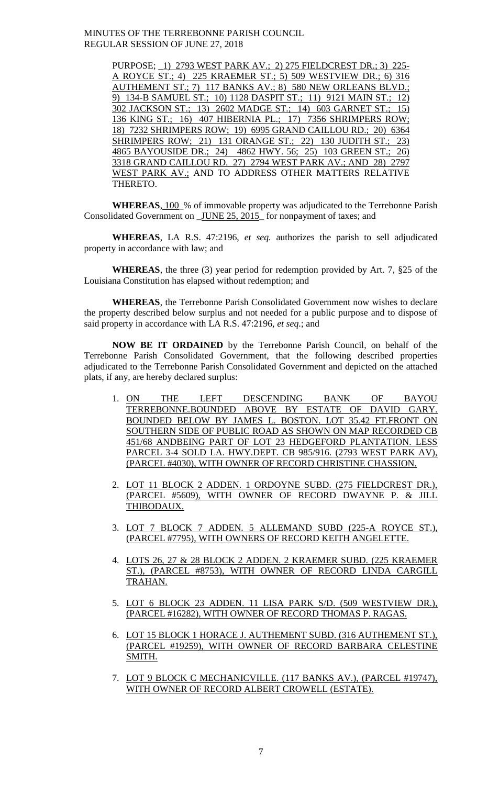> PURPOSE; \_1) 2793 WEST PARK AV.; 2) 275 FIELDCREST DR.; 3) 225- A ROYCE ST.; 4) 225 KRAEMER ST.; 5) 509 WESTVIEW DR.; 6) 316 AUTHEMENT ST.; 7) 117 BANKS AV.; 8) 580 NEW ORLEANS BLVD.; 9) 134-B SAMUEL ST.; 10) 1128 DASPIT ST.; 11) 9121 MAIN ST.; 12) 302 JACKSON ST.; 13) 2602 MADGE ST.; 14) 603 GARNET ST.; 15) 136 KING ST.; 16) 407 HIBERNIA PL.; 17) 7356 SHRIMPERS ROW; 18) 7232 SHRIMPERS ROW; 19) 6995 GRAND CAILLOU RD.; 20) 6364 SHRIMPERS ROW; 21) 131 ORANGE ST.; 22) 130 JUDITH ST.; 23) 4865 BAYOUSIDE DR.; 24) 4862 HWY. 56; 25) 103 GREEN ST.; 26) 3318 GRAND CAILLOU RD. 27) 2794 WEST PARK AV.; AND 28) 2797 WEST PARK AV.; AND TO ADDRESS OTHER MATTERS RELATIVE THERETO.

**WHEREAS**, 100\_% of immovable property was adjudicated to the Terrebonne Parish Consolidated Government on \_JUNE 25, 2015\_ for nonpayment of taxes; and

**WHEREAS**, LA R.S. 47:2196, *et seq.* authorizes the parish to sell adjudicated property in accordance with law; and

**WHEREAS**, the three (3) year period for redemption provided by Art. 7, §25 of the Louisiana Constitution has elapsed without redemption; and

**WHEREAS**, the Terrebonne Parish Consolidated Government now wishes to declare the property described below surplus and not needed for a public purpose and to dispose of said property in accordance with LA R.S. 47:2196, *et seq*.; and

**NOW BE IT ORDAINED** by the Terrebonne Parish Council, on behalf of the Terrebonne Parish Consolidated Government, that the following described properties adjudicated to the Terrebonne Parish Consolidated Government and depicted on the attached plats, if any, are hereby declared surplus:

- 1. ON THE LEFT DESCENDING BANK OF BAYOU TERREBONNE.BOUNDED ABOVE BY ESTATE OF DAVID GARY. BOUNDED BELOW BY JAMES L. BOSTON. LOT 35.42 FT.FRONT ON SOUTHERN SIDE OF PUBLIC ROAD AS SHOWN ON MAP RECORDED CB 451/68 ANDBEING PART OF LOT 23 HEDGEFORD PLANTATION. LESS PARCEL 3-4 SOLD LA. HWY.DEPT. CB 985/916. (2793 WEST PARK AV), (PARCEL #4030), WITH OWNER OF RECORD CHRISTINE CHASSION.
- 2. LOT 11 BLOCK 2 ADDEN. 1 ORDOYNE SUBD. (275 FIELDCREST DR.), (PARCEL #5609), WITH OWNER OF RECORD DWAYNE P. & JILL THIBODAUX.
- 3. LOT 7 BLOCK 7 ADDEN. 5 ALLEMAND SUBD (225-A ROYCE ST.), (PARCEL #7795), WITH OWNERS OF RECORD KEITH ANGELETTE.
- 4. LOTS 26, 27 & 28 BLOCK 2 ADDEN. 2 KRAEMER SUBD. (225 KRAEMER ST.), (PARCEL #8753), WITH OWNER OF RECORD LINDA CARGILL TRAHAN.
- 5. LOT 6 BLOCK 23 ADDEN. 11 LISA PARK S/D. (509 WESTVIEW DR.), (PARCEL #16282), WITH OWNER OF RECORD THOMAS P. RAGAS.
- 6. LOT 15 BLOCK 1 HORACE J. AUTHEMENT SUBD. (316 AUTHEMENT ST.), (PARCEL #19259), WITH OWNER OF RECORD BARBARA CELESTINE SMITH.
- 7. LOT 9 BLOCK C MECHANICVILLE. (117 BANKS AV.), (PARCEL #19747), WITH OWNER OF RECORD ALBERT CROWELL (ESTATE).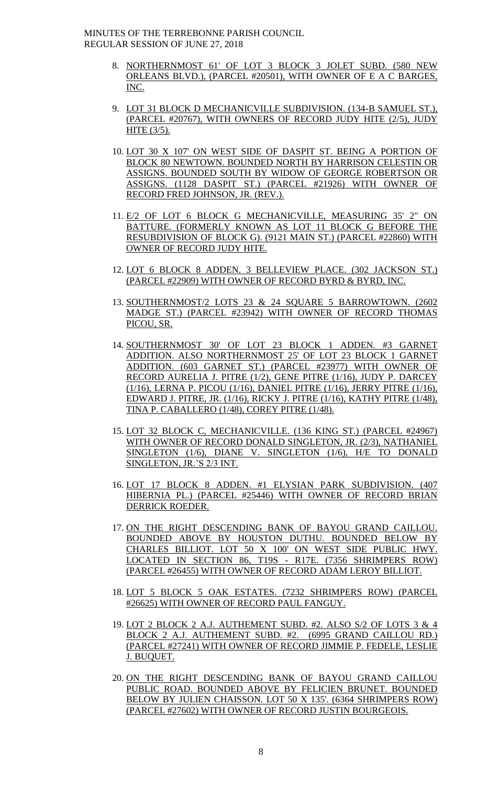- 8. NORTHERNMOST 61' OF LOT 3 BLOCK 3 JOLET SUBD. (580 NEW ORLEANS BLVD.), (PARCEL #20501), WITH OWNER OF E A C BARGES, INC.
- 9. LOT 31 BLOCK D MECHANICVILLE SUBDIVISION. (134-B SAMUEL ST.), (PARCEL #20767), WITH OWNERS OF RECORD JUDY HITE (2/5), JUDY HITE (3/5).
- 10. LOT 30 X 107' ON WEST SIDE OF DASPIT ST. BEING A PORTION OF BLOCK 80 NEWTOWN. BOUNDED NORTH BY HARRISON CELESTIN OR ASSIGNS. BOUNDED SOUTH BY WIDOW OF GEORGE ROBERTSON OR ASSIGNS. (1128 DASPIT ST.) (PARCEL #21926) WITH OWNER OF RECORD FRED JOHNSON, JR. (REV.).
- 11. E/2 OF LOT 6 BLOCK G MECHANICVILLE, MEASURING 35' 2" ON BATTURE. (FORMERLY KNOWN AS LOT 11 BLOCK G BEFORE THE RESUBDIVISION OF BLOCK G). (9121 MAIN ST.) (PARCEL #22860) WITH OWNER OF RECORD JUDY HITE.
- 12. LOT 6 BLOCK 8 ADDEN. 3 BELLEVIEW PLACE. (302 JACKSON ST.) (PARCEL #22909) WITH OWNER OF RECORD BYRD & BYRD, INC.
- 13. SOUTHERNMOST/2 LOTS 23 & 24 SQUARE 5 BARROWTOWN. (2602 MADGE ST.) (PARCEL #23942) WITH OWNER OF RECORD THOMAS PICOU, SR.
- 14. SOUTHERNMOST 30' OF LOT 23 BLOCK 1 ADDEN. #3 GARNET ADDITION. ALSO NORTHERNMOST 25' OF LOT 23 BLOCK 1 GARNET ADDITION. (603 GARNET ST.) (PARCEL #23977) WITH OWNER OF RECORD AURELIA J. PITRE (1/2), GENE PITRE (1/16), JUDY P. DARCEY (1/16), LERNA P. PICOU (1/16), DANIEL PITRE (1/16), JERRY PITRE (1/16), EDWARD J. PITRE, JR. (1/16), RICKY J. PITRE (1/16), KATHY PITRE (1/48), TINA P. CABALLERO (1/48), COREY PITRE (1/48).
- 15. LOT 32 BLOCK C, MECHANICVILLE. (136 KING ST.) (PARCEL #24967) WITH OWNER OF RECORD DONALD SINGLETON, JR. (2/3), NATHANIEL SINGLETON (1/6), DIANE V. SINGLETON (1/6), H/E TO DONALD SINGLETON, JR.'S 2/3 INT.
- 16. LOT 17 BLOCK 8 ADDEN. #1 ELYSIAN PARK SUBDIVISION. (407 HIBERNIA PL.) (PARCEL #25446) WITH OWNER OF RECORD BRIAN DERRICK ROEDER.
- 17. ON THE RIGHT DESCENDING BANK OF BAYOU GRAND CAILLOU. BOUNDED ABOVE BY HOUSTON DUTHU. BOUNDED BELOW BY CHARLES BILLIOT. LOT 50 X 100' ON WEST SIDE PUBLIC HWY. LOCATED IN SECTION 86, T19S - R17E. (7356 SHRIMPERS ROW) (PARCEL #26455) WITH OWNER OF RECORD ADAM LEROY BILLIOT.
- 18. LOT 5 BLOCK 5 OAK ESTATES. (7232 SHRIMPERS ROW) (PARCEL #26625) WITH OWNER OF RECORD PAUL FANGUY.
- 19. LOT 2 BLOCK 2 A.J. AUTHEMENT SUBD. #2. ALSO S/2 OF LOTS 3 & 4 BLOCK 2 A.J. AUTHEMENT SUBD. #2. (6995 GRAND CAILLOU RD.) (PARCEL #27241) WITH OWNER OF RECORD JIMMIE P. FEDELE, LESLIE J. BUQUET.
- 20. ON THE RIGHT DESCENDING BANK OF BAYOU GRAND CAILLOU PUBLIC ROAD. BOUNDED ABOVE BY FELICIEN BRUNET. BOUNDED BELOW BY JULIEN CHAISSON. LOT 50 X 135'. (6364 SHRIMPERS ROW) (PARCEL #27602) WITH OWNER OF RECORD JUSTIN BOURGEOIS.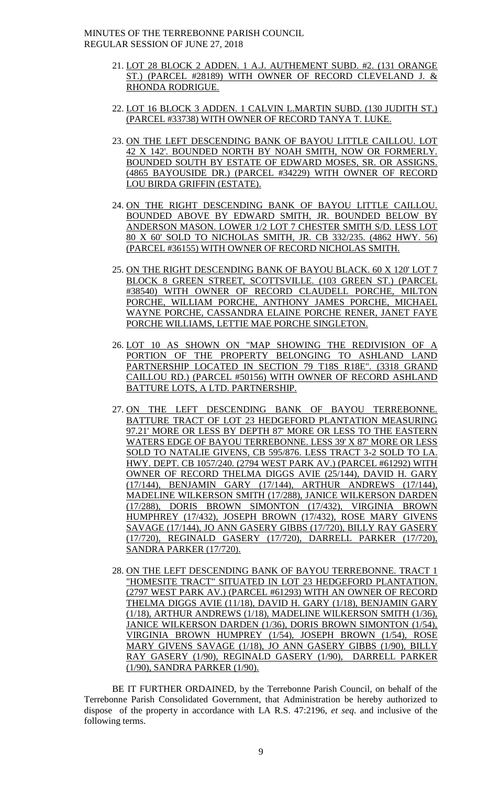- 21. LOT 28 BLOCK 2 ADDEN. 1 A.J. AUTHEMENT SUBD. #2. (131 ORANGE ST.) (PARCEL #28189) WITH OWNER OF RECORD CLEVELAND J. & RHONDA RODRIGUE.
- 22. LOT 16 BLOCK 3 ADDEN. 1 CALVIN L.MARTIN SUBD. (130 JUDITH ST.) (PARCEL #33738) WITH OWNER OF RECORD TANYA T. LUKE.
- 23. ON THE LEFT DESCENDING BANK OF BAYOU LITTLE CAILLOU. LOT 42 X 142'. BOUNDED NORTH BY NOAH SMITH, NOW OR FORMERLY. BOUNDED SOUTH BY ESTATE OF EDWARD MOSES, SR. OR ASSIGNS. (4865 BAYOUSIDE DR.) (PARCEL #34229) WITH OWNER OF RECORD LOU BIRDA GRIFFIN (ESTATE).
- 24. ON THE RIGHT DESCENDING BANK OF BAYOU LITTLE CAILLOU. BOUNDED ABOVE BY EDWARD SMITH, JR. BOUNDED BELOW BY ANDERSON MASON. LOWER 1/2 LOT 7 CHESTER SMITH S/D. LESS LOT 80 X 60' SOLD TO NICHOLAS SMITH, JR. CB 332/235. (4862 HWY. 56) (PARCEL #36155) WITH OWNER OF RECORD NICHOLAS SMITH.
- 25. ON THE RIGHT DESCENDING BANK OF BAYOU BLACK. 60 X 120' LOT 7 BLOCK 8 GREEN STREET, SCOTTSVILLE. (103 GREEN ST.) (PARCEL #38540) WITH OWNER OF RECORD CLAUDELL PORCHE, MILTON PORCHE, WILLIAM PORCHE, ANTHONY JAMES PORCHE, MICHAEL WAYNE PORCHE, CASSANDRA ELAINE PORCHE RENER, JANET FAYE PORCHE WILLIAMS, LETTIE MAE PORCHE SINGLETON.
- 26. LOT 10 AS SHOWN ON "MAP SHOWING THE REDIVISION OF A PORTION OF THE PROPERTY BELONGING TO ASHLAND LAND PARTNERSHIP LOCATED IN SECTION 79 T18S R18E". (3318 GRAND CAILLOU RD.) (PARCEL #50156) WITH OWNER OF RECORD ASHLAND BATTURE LOTS, A LTD. PARTNERSHIP.
- 27. ON THE LEFT DESCENDING BANK OF BAYOU TERREBONNE. BATTURE TRACT OF LOT 23 HEDGEFORD PLANTATION MEASURING 97.21' MORE OR LESS BY DEPTH 87' MORE OR LESS TO THE EASTERN WATERS EDGE OF BAYOU TERREBONNE. LESS 39' X 87' MORE OR LESS SOLD TO NATALIE GIVENS, CB 595/876. LESS TRACT 3-2 SOLD TO LA. HWY. DEPT. CB 1057/240. (2794 WEST PARK AV.) (PARCEL #61292) WITH OWNER OF RECORD THELMA DIGGS AVIE (25/144), DAVID H. GARY (17/144), BENJAMIN GARY (17/144), ARTHUR ANDREWS (17/144), MADELINE WILKERSON SMITH (17/288), JANICE WILKERSON DARDEN (17/288), DORIS BROWN SIMONTON (17/432), VIRGINIA BROWN HUMPHREY (17/432), JOSEPH BROWN (17/432), ROSE MARY GIVENS SAVAGE (17/144), JO ANN GASERY GIBBS (17/720), BILLY RAY GASERY (17/720), REGINALD GASERY (17/720), DARRELL PARKER (17/720), SANDRA PARKER (17/720).
- 28. ON THE LEFT DESCENDING BANK OF BAYOU TERREBONNE. TRACT 1 "HOMESITE TRACT" SITUATED IN LOT 23 HEDGEFORD PLANTATION. (2797 WEST PARK AV.) (PARCEL #61293) WITH AN OWNER OF RECORD THELMA DIGGS AVIE (11/18), DAVID H. GARY (1/18), BENJAMIN GARY (1/18), ARTHUR ANDREWS (1/18), MADELINE WILKERSON SMITH (1/36), JANICE WILKERSON DARDEN (1/36), DORIS BROWN SIMONTON (1/54), VIRGINIA BROWN HUMPREY (1/54), JOSEPH BROWN (1/54), ROSE MARY GIVENS SAVAGE (1/18), JO ANN GASERY GIBBS (1/90), BILLY RAY GASERY (1/90), REGINALD GASERY (1/90), DARRELL PARKER (1/90), SANDRA PARKER (1/90).

BE IT FURTHER ORDAINED, by the Terrebonne Parish Council, on behalf of the Terrebonne Parish Consolidated Government, that Administration be hereby authorized to dispose of the property in accordance with LA R.S. 47:2196, *et seq*. and inclusive of the following terms.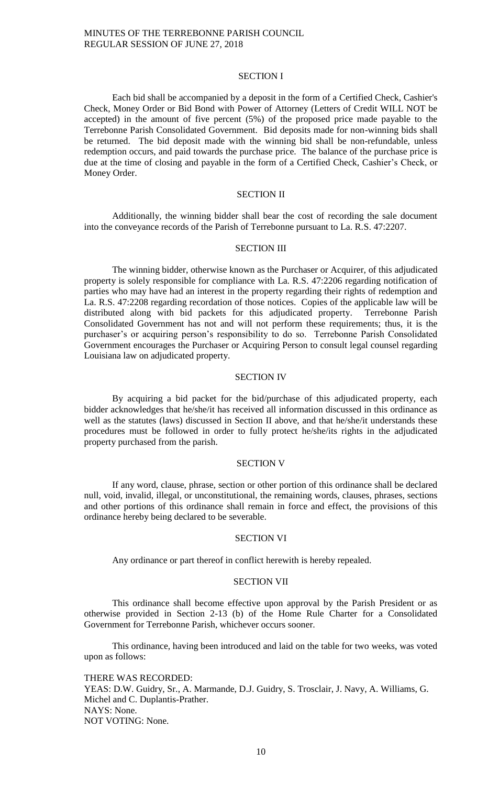#### SECTION I

Each bid shall be accompanied by a deposit in the form of a Certified Check, Cashier's Check, Money Order or Bid Bond with Power of Attorney (Letters of Credit WILL NOT be accepted) in the amount of five percent (5%) of the proposed price made payable to the Terrebonne Parish Consolidated Government. Bid deposits made for non-winning bids shall be returned. The bid deposit made with the winning bid shall be non-refundable, unless redemption occurs, and paid towards the purchase price. The balance of the purchase price is due at the time of closing and payable in the form of a Certified Check, Cashier's Check, or Money Order.

## SECTION II

Additionally, the winning bidder shall bear the cost of recording the sale document into the conveyance records of the Parish of Terrebonne pursuant to La. R.S. 47:2207.

### SECTION III

The winning bidder, otherwise known as the Purchaser or Acquirer, of this adjudicated property is solely responsible for compliance with La. R.S. 47:2206 regarding notification of parties who may have had an interest in the property regarding their rights of redemption and La. R.S. 47:2208 regarding recordation of those notices. Copies of the applicable law will be distributed along with bid packets for this adjudicated property. Terrebonne Parish Consolidated Government has not and will not perform these requirements; thus, it is the purchaser's or acquiring person's responsibility to do so. Terrebonne Parish Consolidated Government encourages the Purchaser or Acquiring Person to consult legal counsel regarding Louisiana law on adjudicated property.

### SECTION IV

By acquiring a bid packet for the bid/purchase of this adjudicated property, each bidder acknowledges that he/she/it has received all information discussed in this ordinance as well as the statutes (laws) discussed in Section II above, and that he/she/it understands these procedures must be followed in order to fully protect he/she/its rights in the adjudicated property purchased from the parish.

#### SECTION V

If any word, clause, phrase, section or other portion of this ordinance shall be declared null, void, invalid, illegal, or unconstitutional, the remaining words, clauses, phrases, sections and other portions of this ordinance shall remain in force and effect, the provisions of this ordinance hereby being declared to be severable.

#### SECTION VI

Any ordinance or part thereof in conflict herewith is hereby repealed.

### SECTION VII

This ordinance shall become effective upon approval by the Parish President or as otherwise provided in Section 2-13 (b) of the Home Rule Charter for a Consolidated Government for Terrebonne Parish, whichever occurs sooner.

This ordinance, having been introduced and laid on the table for two weeks, was voted upon as follows:

THERE WAS RECORDED: YEAS: D.W. Guidry, Sr., A. Marmande, D.J. Guidry, S. Trosclair, J. Navy, A. Williams, G. Michel and C. Duplantis-Prather. NAYS: None. NOT VOTING: None.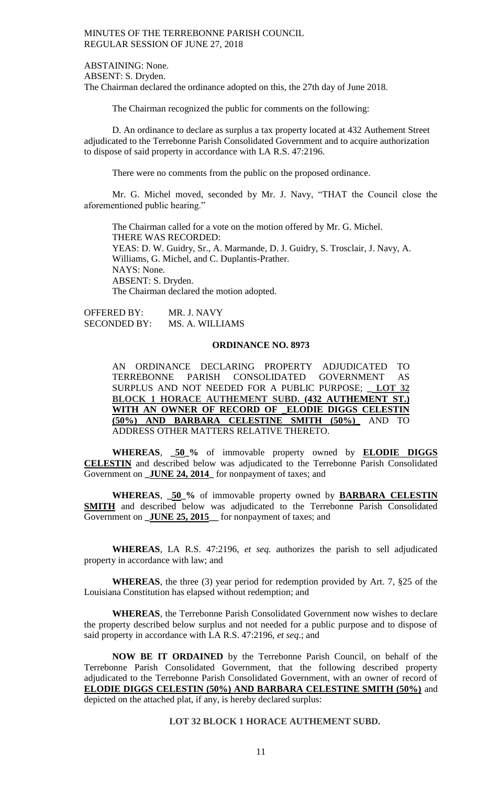ABSTAINING: None. ABSENT: S. Dryden. The Chairman declared the ordinance adopted on this, the 27th day of June 2018.

The Chairman recognized the public for comments on the following:

D. An ordinance to declare as surplus a tax property located at 432 Authement Street adjudicated to the Terrebonne Parish Consolidated Government and to acquire authorization to dispose of said property in accordance with LA R.S. 47:2196.

There were no comments from the public on the proposed ordinance.

Mr. G. Michel moved, seconded by Mr. J. Navy, "THAT the Council close the aforementioned public hearing."

The Chairman called for a vote on the motion offered by Mr. G. Michel. THERE WAS RECORDED: YEAS: D. W. Guidry, Sr., A. Marmande, D. J. Guidry, S. Trosclair, J. Navy, A. Williams, G. Michel, and C. Duplantis-Prather. NAYS: None. ABSENT: S. Dryden. The Chairman declared the motion adopted.

OFFERED BY: MR. J. NAVY SECONDED BY: MS. A. WILLIAMS

## **ORDINANCE NO. 8973**

AN ORDINANCE DECLARING PROPERTY ADJUDICATED TO TERREBONNE PARISH CONSOLIDATED GOVERNMENT AS SURPLUS AND NOT NEEDED FOR A PUBLIC PURPOSE; **\_ LOT 32 BLOCK 1 HORACE AUTHEMENT SUBD. (432 AUTHEMENT ST.) WITH AN OWNER OF RECORD OF \_ELODIE DIGGS CELESTIN (50%) AND BARBARA CELESTINE SMITH (50%)\_** AND TO ADDRESS OTHER MATTERS RELATIVE THERETO.

**WHEREAS**, **\_50\_%** of immovable property owned by **ELODIE DIGGS CELESTIN** and described below was adjudicated to the Terrebonne Parish Consolidated Government on **\_JUNE 24, 2014\_** for nonpayment of taxes; and

**WHEREAS**, **\_50\_%** of immovable property owned by **BARBARA CELESTIN SMITH** and described below was adjudicated to the Terrebonne Parish Consolidated Government on **\_JUNE 25, 2015\_\_** for nonpayment of taxes; and

**WHEREAS**, LA R.S. 47:2196, *et seq.* authorizes the parish to sell adjudicated property in accordance with law; and

**WHEREAS**, the three (3) year period for redemption provided by Art. 7, §25 of the Louisiana Constitution has elapsed without redemption; and

**WHEREAS**, the Terrebonne Parish Consolidated Government now wishes to declare the property described below surplus and not needed for a public purpose and to dispose of said property in accordance with LA R.S. 47:2196, *et seq*.; and

**NOW BE IT ORDAINED** by the Terrebonne Parish Council, on behalf of the Terrebonne Parish Consolidated Government, that the following described property adjudicated to the Terrebonne Parish Consolidated Government, with an owner of record of **ELODIE DIGGS CELESTIN (50%) AND BARBARA CELESTINE SMITH (50%)** and depicted on the attached plat, if any, is hereby declared surplus:

**LOT 32 BLOCK 1 HORACE AUTHEMENT SUBD.**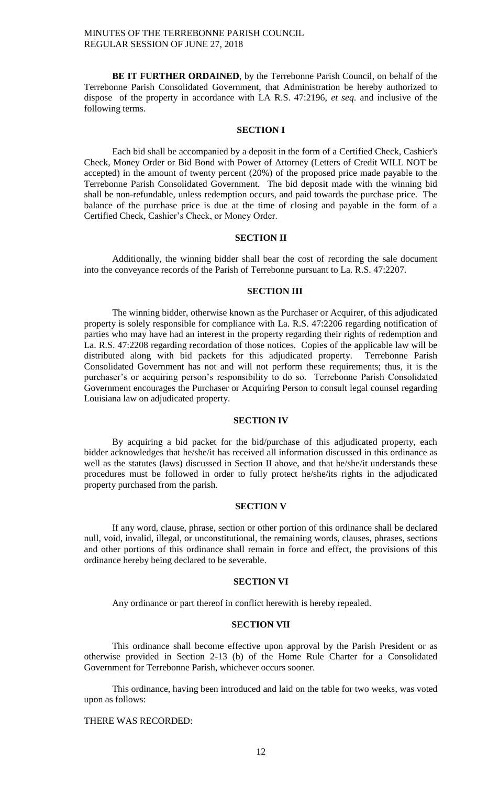**BE IT FURTHER ORDAINED**, by the Terrebonne Parish Council, on behalf of the Terrebonne Parish Consolidated Government, that Administration be hereby authorized to dispose of the property in accordance with LA R.S. 47:2196, *et seq*. and inclusive of the following terms.

### **SECTION I**

Each bid shall be accompanied by a deposit in the form of a Certified Check, Cashier's Check, Money Order or Bid Bond with Power of Attorney (Letters of Credit WILL NOT be accepted) in the amount of twenty percent (20%) of the proposed price made payable to the Terrebonne Parish Consolidated Government. The bid deposit made with the winning bid shall be non-refundable, unless redemption occurs, and paid towards the purchase price. The balance of the purchase price is due at the time of closing and payable in the form of a Certified Check, Cashier's Check, or Money Order.

### **SECTION II**

Additionally, the winning bidder shall bear the cost of recording the sale document into the conveyance records of the Parish of Terrebonne pursuant to La. R.S. 47:2207.

# **SECTION III**

The winning bidder, otherwise known as the Purchaser or Acquirer, of this adjudicated property is solely responsible for compliance with La. R.S. 47:2206 regarding notification of parties who may have had an interest in the property regarding their rights of redemption and La. R.S. 47:2208 regarding recordation of those notices. Copies of the applicable law will be distributed along with bid packets for this adjudicated property. Terrebonne Parish Consolidated Government has not and will not perform these requirements; thus, it is the purchaser's or acquiring person's responsibility to do so. Terrebonne Parish Consolidated Government encourages the Purchaser or Acquiring Person to consult legal counsel regarding Louisiana law on adjudicated property.

# **SECTION IV**

By acquiring a bid packet for the bid/purchase of this adjudicated property, each bidder acknowledges that he/she/it has received all information discussed in this ordinance as well as the statutes (laws) discussed in Section II above, and that he/she/it understands these procedures must be followed in order to fully protect he/she/its rights in the adjudicated property purchased from the parish.

# **SECTION V**

If any word, clause, phrase, section or other portion of this ordinance shall be declared null, void, invalid, illegal, or unconstitutional, the remaining words, clauses, phrases, sections and other portions of this ordinance shall remain in force and effect, the provisions of this ordinance hereby being declared to be severable.

### **SECTION VI**

Any ordinance or part thereof in conflict herewith is hereby repealed.

### **SECTION VII**

This ordinance shall become effective upon approval by the Parish President or as otherwise provided in Section 2-13 (b) of the Home Rule Charter for a Consolidated Government for Terrebonne Parish, whichever occurs sooner.

This ordinance, having been introduced and laid on the table for two weeks, was voted upon as follows:

# THERE WAS RECORDED: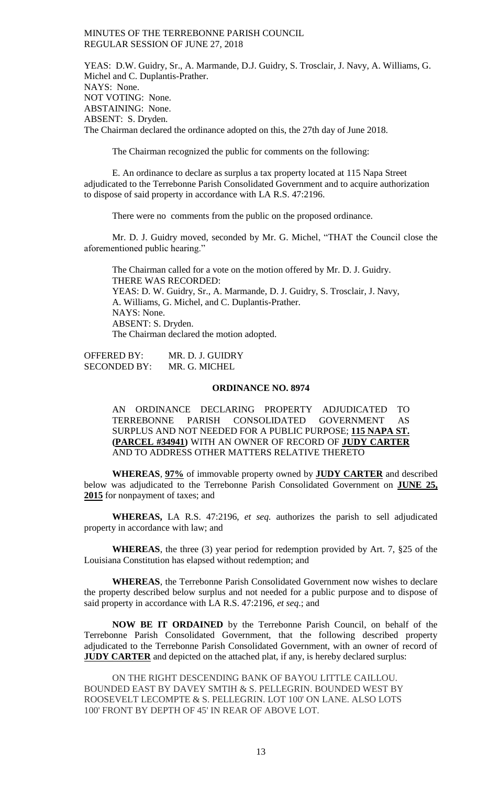YEAS: D.W. Guidry, Sr., A. Marmande, D.J. Guidry, S. Trosclair, J. Navy, A. Williams, G. Michel and C. Duplantis-Prather. NAYS: None. NOT VOTING: None. ABSTAINING: None. ABSENT: S. Dryden. The Chairman declared the ordinance adopted on this, the 27th day of June 2018.

The Chairman recognized the public for comments on the following:

E. An ordinance to declare as surplus a tax property located at 115 Napa Street adjudicated to the Terrebonne Parish Consolidated Government and to acquire authorization to dispose of said property in accordance with LA R.S. 47:2196.

There were no comments from the public on the proposed ordinance.

Mr. D. J. Guidry moved, seconded by Mr. G. Michel, "THAT the Council close the aforementioned public hearing."

The Chairman called for a vote on the motion offered by Mr. D. J. Guidry. THERE WAS RECORDED: YEAS: D. W. Guidry, Sr., A. Marmande, D. J. Guidry, S. Trosclair, J. Navy, A. Williams, G. Michel, and C. Duplantis-Prather. NAYS: None. ABSENT: S. Dryden. The Chairman declared the motion adopted.

OFFERED BY: MR. D. J. GUIDRY SECONDED BY: MR. G. MICHEL

### **ORDINANCE NO. 8974**

AN ORDINANCE DECLARING PROPERTY ADJUDICATED TO TERREBONNE PARISH CONSOLIDATED GOVERNMENT AS SURPLUS AND NOT NEEDED FOR A PUBLIC PURPOSE; **115 NAPA ST. (PARCEL #34941)** WITH AN OWNER OF RECORD OF **JUDY CARTER** AND TO ADDRESS OTHER MATTERS RELATIVE THERETO

**WHEREAS**, **97%** of immovable property owned by **JUDY CARTER** and described below was adjudicated to the Terrebonne Parish Consolidated Government on **JUNE 25, 2015** for nonpayment of taxes; and

**WHEREAS,** LA R.S. 47:2196, *et seq.* authorizes the parish to sell adjudicated property in accordance with law; and

**WHEREAS**, the three (3) year period for redemption provided by Art. 7, §25 of the Louisiana Constitution has elapsed without redemption; and

**WHEREAS**, the Terrebonne Parish Consolidated Government now wishes to declare the property described below surplus and not needed for a public purpose and to dispose of said property in accordance with LA R.S. 47:2196, *et seq*.; and

**NOW BE IT ORDAINED** by the Terrebonne Parish Council, on behalf of the Terrebonne Parish Consolidated Government, that the following described property adjudicated to the Terrebonne Parish Consolidated Government, with an owner of record of **JUDY CARTER** and depicted on the attached plat, if any, is hereby declared surplus:

ON THE RIGHT DESCENDING BANK OF BAYOU LITTLE CAILLOU. BOUNDED EAST BY DAVEY SMTIH & S. PELLEGRIN. BOUNDED WEST BY ROOSEVELT LECOMPTE & S. PELLEGRIN. LOT 100' ON LANE. ALSO LOTS 100' FRONT BY DEPTH OF 45' IN REAR OF ABOVE LOT.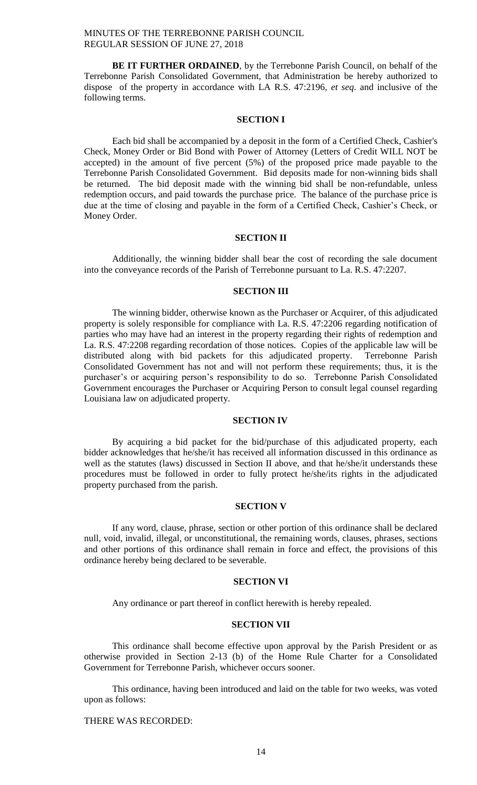**BE IT FURTHER ORDAINED**, by the Terrebonne Parish Council, on behalf of the Terrebonne Parish Consolidated Government, that Administration be hereby authorized to dispose of the property in accordance with LA R.S. 47:2196, *et seq*. and inclusive of the following terms.

#### **SECTION I**

Each bid shall be accompanied by a deposit in the form of a Certified Check, Cashier's Check, Money Order or Bid Bond with Power of Attorney (Letters of Credit WILL NOT be accepted) in the amount of five percent (5%) of the proposed price made payable to the Terrebonne Parish Consolidated Government. Bid deposits made for non-winning bids shall be returned. The bid deposit made with the winning bid shall be non-refundable, unless redemption occurs, and paid towards the purchase price. The balance of the purchase price is due at the time of closing and payable in the form of a Certified Check, Cashier's Check, or Money Order.

### **SECTION II**

Additionally, the winning bidder shall bear the cost of recording the sale document into the conveyance records of the Parish of Terrebonne pursuant to La. R.S. 47:2207.

# **SECTION III**

The winning bidder, otherwise known as the Purchaser or Acquirer, of this adjudicated property is solely responsible for compliance with La. R.S. 47:2206 regarding notification of parties who may have had an interest in the property regarding their rights of redemption and La. R.S. 47:2208 regarding recordation of those notices. Copies of the applicable law will be distributed along with bid packets for this adjudicated property. Terrebonne Parish Consolidated Government has not and will not perform these requirements; thus, it is the purchaser's or acquiring person's responsibility to do so. Terrebonne Parish Consolidated Government encourages the Purchaser or Acquiring Person to consult legal counsel regarding Louisiana law on adjudicated property.

### **SECTION IV**

By acquiring a bid packet for the bid/purchase of this adjudicated property, each bidder acknowledges that he/she/it has received all information discussed in this ordinance as well as the statutes (laws) discussed in Section II above, and that he/she/it understands these procedures must be followed in order to fully protect he/she/its rights in the adjudicated property purchased from the parish.

## **SECTION V**

If any word, clause, phrase, section or other portion of this ordinance shall be declared null, void, invalid, illegal, or unconstitutional, the remaining words, clauses, phrases, sections and other portions of this ordinance shall remain in force and effect, the provisions of this ordinance hereby being declared to be severable.

### **SECTION VI**

Any ordinance or part thereof in conflict herewith is hereby repealed.

### **SECTION VII**

This ordinance shall become effective upon approval by the Parish President or as otherwise provided in Section 2-13 (b) of the Home Rule Charter for a Consolidated Government for Terrebonne Parish, whichever occurs sooner.

This ordinance, having been introduced and laid on the table for two weeks, was voted upon as follows:

# THERE WAS RECORDED: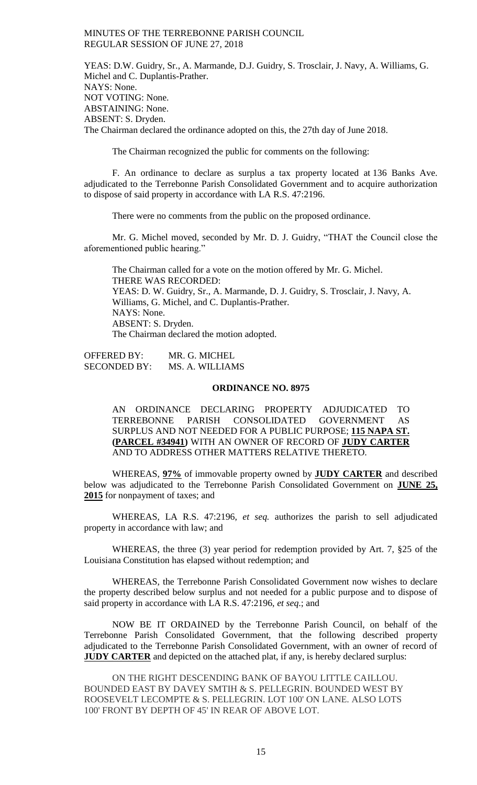YEAS: D.W. Guidry, Sr., A. Marmande, D.J. Guidry, S. Trosclair, J. Navy, A. Williams, G. Michel and C. Duplantis-Prather. NAYS: None. NOT VOTING: None. ABSTAINING: None. ABSENT: S. Dryden. The Chairman declared the ordinance adopted on this, the 27th day of June 2018.

The Chairman recognized the public for comments on the following:

F. An ordinance to declare as surplus a tax property located at 136 Banks Ave. adjudicated to the Terrebonne Parish Consolidated Government and to acquire authorization to dispose of said property in accordance with LA R.S. 47:2196.

There were no comments from the public on the proposed ordinance.

Mr. G. Michel moved, seconded by Mr. D. J. Guidry, "THAT the Council close the aforementioned public hearing."

The Chairman called for a vote on the motion offered by Mr. G. Michel. THERE WAS RECORDED: YEAS: D. W. Guidry, Sr., A. Marmande, D. J. Guidry, S. Trosclair, J. Navy, A. Williams, G. Michel, and C. Duplantis-Prather. NAYS: None. ABSENT: S. Dryden. The Chairman declared the motion adopted.

OFFERED BY: MR. G. MICHEL SECONDED BY: MS. A. WILLIAMS

### **ORDINANCE NO. 8975**

AN ORDINANCE DECLARING PROPERTY ADJUDICATED TO TERREBONNE PARISH CONSOLIDATED GOVERNMENT AS SURPLUS AND NOT NEEDED FOR A PUBLIC PURPOSE; **115 NAPA ST. (PARCEL #34941)** WITH AN OWNER OF RECORD OF **JUDY CARTER** AND TO ADDRESS OTHER MATTERS RELATIVE THERETO.

WHEREAS, **97%** of immovable property owned by **JUDY CARTER** and described below was adjudicated to the Terrebonne Parish Consolidated Government on **JUNE 25, 2015** for nonpayment of taxes; and

WHEREAS, LA R.S. 47:2196, *et seq.* authorizes the parish to sell adjudicated property in accordance with law; and

WHEREAS, the three (3) year period for redemption provided by Art. 7, §25 of the Louisiana Constitution has elapsed without redemption; and

WHEREAS, the Terrebonne Parish Consolidated Government now wishes to declare the property described below surplus and not needed for a public purpose and to dispose of said property in accordance with LA R.S. 47:2196, *et seq*.; and

NOW BE IT ORDAINED by the Terrebonne Parish Council, on behalf of the Terrebonne Parish Consolidated Government, that the following described property adjudicated to the Terrebonne Parish Consolidated Government, with an owner of record of **JUDY CARTER** and depicted on the attached plat, if any, is hereby declared surplus:

ON THE RIGHT DESCENDING BANK OF BAYOU LITTLE CAILLOU. BOUNDED EAST BY DAVEY SMTIH & S. PELLEGRIN. BOUNDED WEST BY ROOSEVELT LECOMPTE & S. PELLEGRIN. LOT 100' ON LANE. ALSO LOTS 100' FRONT BY DEPTH OF 45' IN REAR OF ABOVE LOT.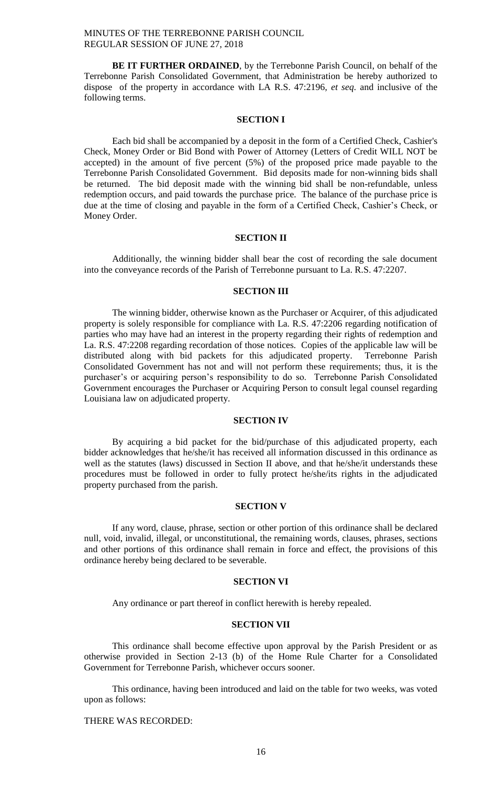**BE IT FURTHER ORDAINED**, by the Terrebonne Parish Council, on behalf of the Terrebonne Parish Consolidated Government, that Administration be hereby authorized to dispose of the property in accordance with LA R.S. 47:2196, *et seq*. and inclusive of the following terms.

#### **SECTION I**

Each bid shall be accompanied by a deposit in the form of a Certified Check, Cashier's Check, Money Order or Bid Bond with Power of Attorney (Letters of Credit WILL NOT be accepted) in the amount of five percent (5%) of the proposed price made payable to the Terrebonne Parish Consolidated Government. Bid deposits made for non-winning bids shall be returned. The bid deposit made with the winning bid shall be non-refundable, unless redemption occurs, and paid towards the purchase price. The balance of the purchase price is due at the time of closing and payable in the form of a Certified Check, Cashier's Check, or Money Order.

### **SECTION II**

Additionally, the winning bidder shall bear the cost of recording the sale document into the conveyance records of the Parish of Terrebonne pursuant to La. R.S. 47:2207.

# **SECTION III**

The winning bidder, otherwise known as the Purchaser or Acquirer, of this adjudicated property is solely responsible for compliance with La. R.S. 47:2206 regarding notification of parties who may have had an interest in the property regarding their rights of redemption and La. R.S. 47:2208 regarding recordation of those notices. Copies of the applicable law will be distributed along with bid packets for this adjudicated property. Terrebonne Parish distributed along with bid packets for this adjudicated property. Consolidated Government has not and will not perform these requirements; thus, it is the purchaser's or acquiring person's responsibility to do so. Terrebonne Parish Consolidated Government encourages the Purchaser or Acquiring Person to consult legal counsel regarding Louisiana law on adjudicated property.

# **SECTION IV**

By acquiring a bid packet for the bid/purchase of this adjudicated property, each bidder acknowledges that he/she/it has received all information discussed in this ordinance as well as the statutes (laws) discussed in Section II above, and that he/she/it understands these procedures must be followed in order to fully protect he/she/its rights in the adjudicated property purchased from the parish.

# **SECTION V**

If any word, clause, phrase, section or other portion of this ordinance shall be declared null, void, invalid, illegal, or unconstitutional, the remaining words, clauses, phrases, sections and other portions of this ordinance shall remain in force and effect, the provisions of this ordinance hereby being declared to be severable.

## **SECTION VI**

Any ordinance or part thereof in conflict herewith is hereby repealed.

### **SECTION VII**

This ordinance shall become effective upon approval by the Parish President or as otherwise provided in Section 2-13 (b) of the Home Rule Charter for a Consolidated Government for Terrebonne Parish, whichever occurs sooner.

This ordinance, having been introduced and laid on the table for two weeks, was voted upon as follows:

# THERE WAS RECORDED: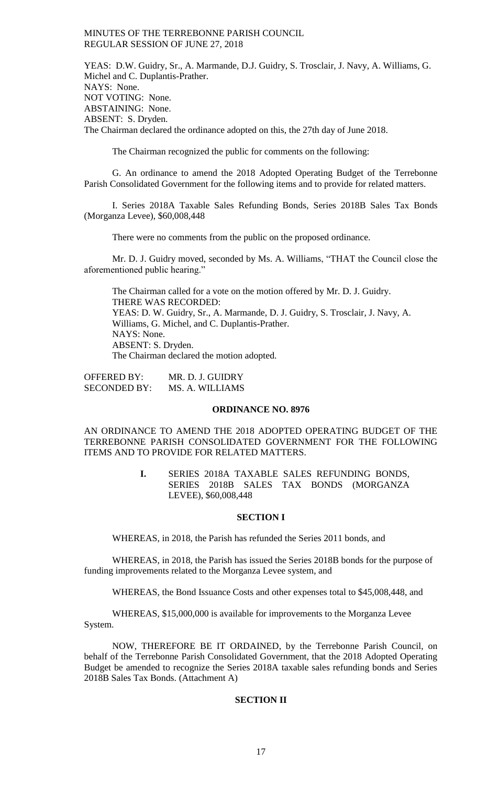YEAS: D.W. Guidry, Sr., A. Marmande, D.J. Guidry, S. Trosclair, J. Navy, A. Williams, G. Michel and C. Duplantis-Prather. NAYS: None. NOT VOTING: None. ABSTAINING: None. ABSENT: S. Dryden. The Chairman declared the ordinance adopted on this, the 27th day of June 2018.

The Chairman recognized the public for comments on the following:

G. An ordinance to amend the 2018 Adopted Operating Budget of the Terrebonne Parish Consolidated Government for the following items and to provide for related matters.

I. Series 2018A Taxable Sales Refunding Bonds, Series 2018B Sales Tax Bonds (Morganza Levee), \$60,008,448

There were no comments from the public on the proposed ordinance.

Mr. D. J. Guidry moved, seconded by Ms. A. Williams, "THAT the Council close the aforementioned public hearing."

The Chairman called for a vote on the motion offered by Mr. D. J. Guidry. THERE WAS RECORDED: YEAS: D. W. Guidry, Sr., A. Marmande, D. J. Guidry, S. Trosclair, J. Navy, A. Williams, G. Michel, and C. Duplantis-Prather. NAYS: None. ABSENT: S. Dryden. The Chairman declared the motion adopted.

OFFERED BY: MR. D. J. GUIDRY SECONDED BY: MS. A. WILLIAMS

## **ORDINANCE NO. 8976**

AN ORDINANCE TO AMEND THE 2018 ADOPTED OPERATING BUDGET OF THE TERREBONNE PARISH CONSOLIDATED GOVERNMENT FOR THE FOLLOWING ITEMS AND TO PROVIDE FOR RELATED MATTERS.

> **I.** SERIES 2018A TAXABLE SALES REFUNDING BONDS, SERIES 2018B SALES TAX BONDS (MORGANZA LEVEE), \$60,008,448

#### **SECTION I**

WHEREAS, in 2018, the Parish has refunded the Series 2011 bonds, and

WHEREAS, in 2018, the Parish has issued the Series 2018B bonds for the purpose of funding improvements related to the Morganza Levee system, and

WHEREAS, the Bond Issuance Costs and other expenses total to \$45,008,448, and

WHEREAS, \$15,000,000 is available for improvements to the Morganza Levee System.

NOW, THEREFORE BE IT ORDAINED, by the Terrebonne Parish Council, on behalf of the Terrebonne Parish Consolidated Government, that the 2018 Adopted Operating Budget be amended to recognize the Series 2018A taxable sales refunding bonds and Series 2018B Sales Tax Bonds. (Attachment A)

# **SECTION II**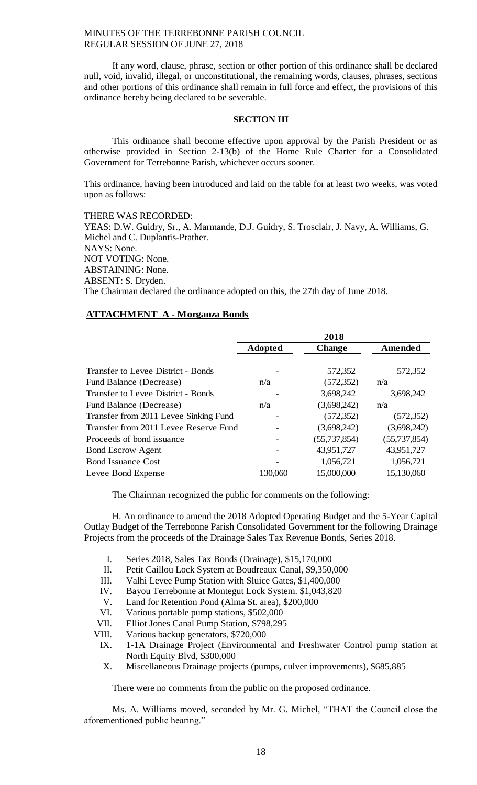If any word, clause, phrase, section or other portion of this ordinance shall be declared null, void, invalid, illegal, or unconstitutional, the remaining words, clauses, phrases, sections and other portions of this ordinance shall remain in full force and effect, the provisions of this ordinance hereby being declared to be severable.

#### **SECTION III**

This ordinance shall become effective upon approval by the Parish President or as otherwise provided in Section 2-13(b) of the Home Rule Charter for a Consolidated Government for Terrebonne Parish, whichever occurs sooner.

This ordinance, having been introduced and laid on the table for at least two weeks, was voted upon as follows:

THERE WAS RECORDED: YEAS: D.W. Guidry, Sr., A. Marmande, D.J. Guidry, S. Trosclair, J. Navy, A. Williams, G. Michel and C. Duplantis-Prather. NAYS: None. NOT VOTING: None. ABSTAINING: None. ABSENT: S. Dryden. The Chairman declared the ordinance adopted on this, the 27th day of June 2018.

# **ATTACHMENT A - Morganza Bonds**

|                                       |                | 2018           |              |
|---------------------------------------|----------------|----------------|--------------|
|                                       | <b>Adopted</b> | <b>Change</b>  | Amended      |
|                                       |                |                |              |
| Transfer to Levee District - Bonds    |                | 572,352        | 572,352      |
| Fund Balance (Decrease)               | n/a            | (572, 352)     | n/a          |
| Transfer to Levee District - Bonds    |                | 3,698,242      | 3,698,242    |
| Fund Balance (Decrease)               | n/a            | (3,698,242)    | n/a          |
| Transfer from 2011 Levee Sinking Fund |                | (572, 352)     | (572, 352)   |
| Transfer from 2011 Levee Reserve Fund |                | (3,698,242)    | (3,698,242)  |
| Proceeds of bond issuance             |                | (55, 737, 854) | (55,737,854) |
| <b>Bond Escrow Agent</b>              |                | 43,951,727     | 43,951,727   |
| <b>Bond Issuance Cost</b>             |                | 1,056,721      | 1,056,721    |
| Levee Bond Expense                    | 130,060        | 15,000,000     | 15,130,060   |

The Chairman recognized the public for comments on the following:

H. An ordinance to amend the 2018 Adopted Operating Budget and the 5-Year Capital Outlay Budget of the Terrebonne Parish Consolidated Government for the following Drainage Projects from the proceeds of the Drainage Sales Tax Revenue Bonds, Series 2018.

- I. Series 2018, Sales Tax Bonds (Drainage), \$15,170,000
- II. Petit Caillou Lock System at Boudreaux Canal, \$9,350,000
- III. Valhi Levee Pump Station with Sluice Gates, \$1,400,000
- IV. Bayou Terrebonne at Montegut Lock System. \$1,043,820
- V. Land for Retention Pond (Alma St. area), \$200,000
- VI. Various portable pump stations, \$502,000
- VII. Elliot Jones Canal Pump Station, \$798,295
- VIII. Various backup generators, \$720,000
- IX. 1-1A Drainage Project (Environmental and Freshwater Control pump station at North Equity Blvd, \$300,000
- X. Miscellaneous Drainage projects (pumps, culver improvements), \$685,885

There were no comments from the public on the proposed ordinance.

Ms. A. Williams moved, seconded by Mr. G. Michel, "THAT the Council close the aforementioned public hearing."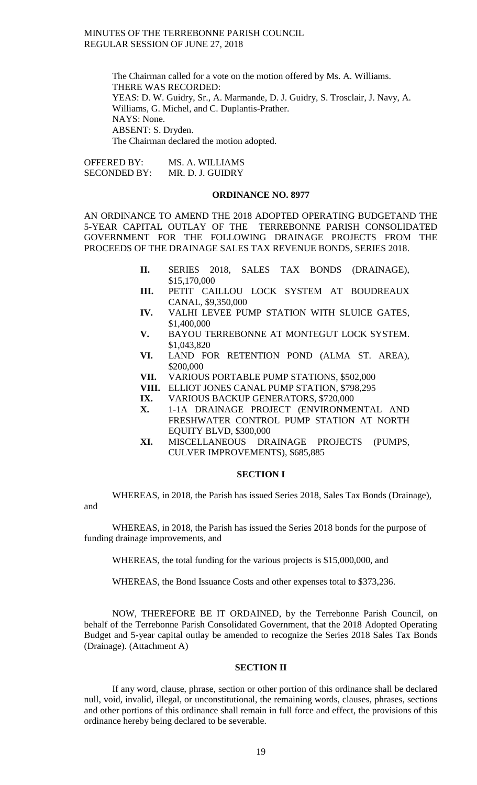> The Chairman called for a vote on the motion offered by Ms. A. Williams. THERE WAS RECORDED: YEAS: D. W. Guidry, Sr., A. Marmande, D. J. Guidry, S. Trosclair, J. Navy, A. Williams, G. Michel, and C. Duplantis-Prather. NAYS: None. ABSENT: S. Dryden. The Chairman declared the motion adopted.

OFFERED BY: MS. A. WILLIAMS SECONDED BY: MR. D. J. GUIDRY

#### **ORDINANCE NO. 8977**

AN ORDINANCE TO AMEND THE 2018 ADOPTED OPERATING BUDGETAND THE 5-YEAR CAPITAL OUTLAY OF THE TERREBONNE PARISH CONSOLIDATED GOVERNMENT FOR THE FOLLOWING DRAINAGE PROJECTS FROM THE PROCEEDS OF THE DRAINAGE SALES TAX REVENUE BONDS, SERIES 2018.

- **II.** SERIES 2018, SALES TAX BONDS (DRAINAGE), \$15,170,000
- **III.** PETIT CAILLOU LOCK SYSTEM AT BOUDREAUX CANAL, \$9,350,000
- **IV.** VALHI LEVEE PUMP STATION WITH SLUICE GATES, \$1,400,000
- **V.** BAYOU TERREBONNE AT MONTEGUT LOCK SYSTEM. \$1,043,820
- **VI.** LAND FOR RETENTION POND (ALMA ST. AREA), \$200,000
- **VII.** VARIOUS PORTABLE PUMP STATIONS, \$502,000
- **VIII.** ELLIOT JONES CANAL PUMP STATION, \$798,295
- **IX.** VARIOUS BACKUP GENERATORS, \$720,000
- **X.** 1-1A DRAINAGE PROJECT (ENVIRONMENTAL AND FRESHWATER CONTROL PUMP STATION AT NORTH EQUITY BLVD, \$300,000
- **XI.** MISCELLANEOUS DRAINAGE PROJECTS (PUMPS, CULVER IMPROVEMENTS), \$685,885

### **SECTION I**

WHEREAS, in 2018, the Parish has issued Series 2018, Sales Tax Bonds (Drainage), and

WHEREAS, in 2018, the Parish has issued the Series 2018 bonds for the purpose of funding drainage improvements, and

WHEREAS, the total funding for the various projects is \$15,000,000, and

WHEREAS, the Bond Issuance Costs and other expenses total to \$373,236.

NOW, THEREFORE BE IT ORDAINED, by the Terrebonne Parish Council, on behalf of the Terrebonne Parish Consolidated Government, that the 2018 Adopted Operating Budget and 5-year capital outlay be amended to recognize the Series 2018 Sales Tax Bonds (Drainage). (Attachment A)

### **SECTION II**

If any word, clause, phrase, section or other portion of this ordinance shall be declared null, void, invalid, illegal, or unconstitutional, the remaining words, clauses, phrases, sections and other portions of this ordinance shall remain in full force and effect, the provisions of this ordinance hereby being declared to be severable.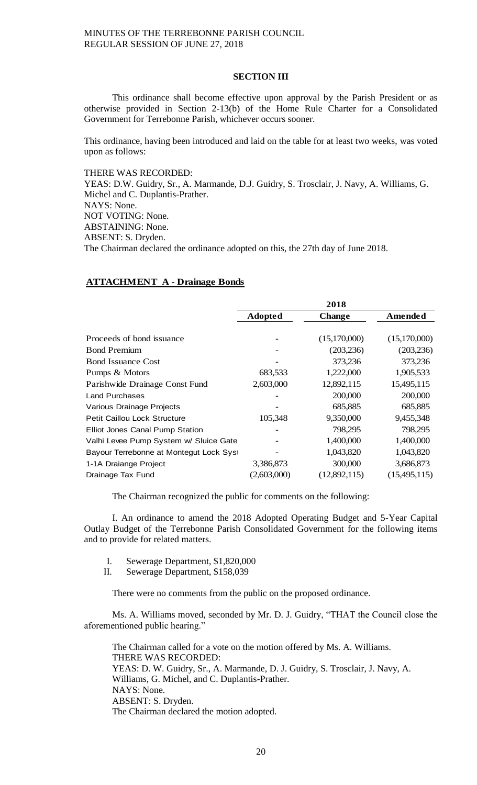## **SECTION III**

This ordinance shall become effective upon approval by the Parish President or as otherwise provided in Section 2-13(b) of the Home Rule Charter for a Consolidated Government for Terrebonne Parish, whichever occurs sooner.

This ordinance, having been introduced and laid on the table for at least two weeks, was voted upon as follows:

THERE WAS RECORDED:

YEAS: D.W. Guidry, Sr., A. Marmande, D.J. Guidry, S. Trosclair, J. Navy, A. Williams, G. Michel and C. Duplantis-Prather. NAYS: None. NOT VOTING: None. ABSTAINING: None. ABSENT: S. Dryden. The Chairman declared the ordinance adopted on this, the 27th day of June 2018.

# **ATTACHMENT A - Drainage Bonds**

|                                        | 2018           |               |                |
|----------------------------------------|----------------|---------------|----------------|
|                                        | <b>Adopted</b> | <b>Change</b> | <b>Amended</b> |
|                                        |                |               |                |
| Proceeds of bond issuance              |                | (15,170,000)  | (15,170,000)   |
| <b>Bond Premium</b>                    |                | (203, 236)    | (203, 236)     |
| <b>Bond Issuance Cost</b>              |                | 373,236       | 373,236        |
| Pumps & Motors                         | 683,533        | 1,222,000     | 1,905,533      |
| Parishwide Drainage Const Fund         | 2,603,000      | 12,892,115    | 15,495,115     |
| <b>Land Purchases</b>                  |                | 200,000       | 200,000        |
| Various Drainage Projects              |                | 685,885       | 685,885        |
| <b>Petit Caillou Lock Structure</b>    | 105,348        | 9,350,000     | 9,455,348      |
| Elliot Jones Canal Pump Station        |                | 798,295       | 798,295        |
| Valhi Levee Pump System w/ Sluice Gate |                | 1,400,000     | 1,400,000      |
| Bayour Terrebonne at Montegut Lock Sys |                | 1,043,820     | 1,043,820      |
| 1-1A Draiange Project                  | 3,386,873      | 300,000       | 3,686,873      |
| Drainage Tax Fund                      | (2,603,000)    | (12,892,115)  | (15,495,115)   |

The Chairman recognized the public for comments on the following:

I. An ordinance to amend the 2018 Adopted Operating Budget and 5-Year Capital Outlay Budget of the Terrebonne Parish Consolidated Government for the following items and to provide for related matters.

- I. Sewerage Department, \$1,820,000
- II. Sewerage Department, \$158,039

There were no comments from the public on the proposed ordinance.

Ms. A. Williams moved, seconded by Mr. D. J. Guidry, "THAT the Council close the aforementioned public hearing."

The Chairman called for a vote on the motion offered by Ms. A. Williams. THERE WAS RECORDED: YEAS: D. W. Guidry, Sr., A. Marmande, D. J. Guidry, S. Trosclair, J. Navy, A. Williams, G. Michel, and C. Duplantis-Prather. NAYS: None. ABSENT: S. Dryden. The Chairman declared the motion adopted.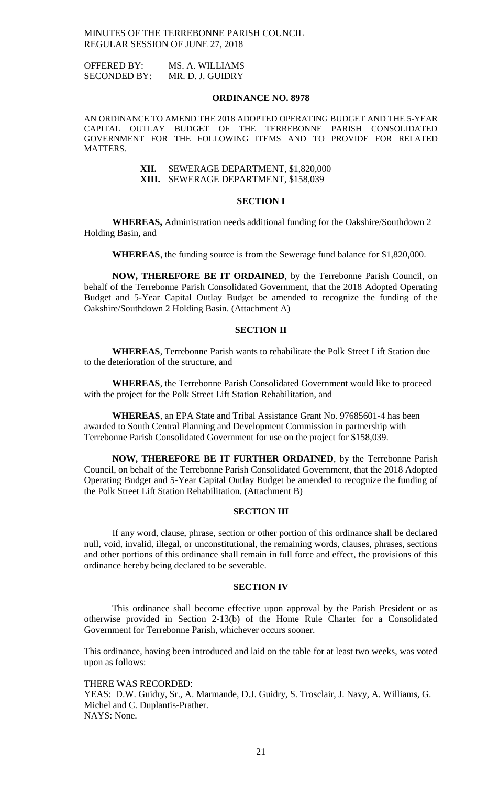OFFERED BY: MS. A. WILLIAMS SECONDED BY: MR. D. J. GUIDRY

#### **ORDINANCE NO. 8978**

AN ORDINANCE TO AMEND THE 2018 ADOPTED OPERATING BUDGET AND THE 5-YEAR CAPITAL OUTLAY BUDGET OF THE TERREBONNE PARISH CONSOLIDATED GOVERNMENT FOR THE FOLLOWING ITEMS AND TO PROVIDE FOR RELATED MATTERS.

> **XII.** SEWERAGE DEPARTMENT, \$1,820,000 **XIII.** SEWERAGE DEPARTMENT, \$158,039

#### **SECTION I**

**WHEREAS,** Administration needs additional funding for the Oakshire/Southdown 2 Holding Basin, and

**WHEREAS**, the funding source is from the Sewerage fund balance for \$1,820,000.

**NOW, THEREFORE BE IT ORDAINED**, by the Terrebonne Parish Council, on behalf of the Terrebonne Parish Consolidated Government, that the 2018 Adopted Operating Budget and 5-Year Capital Outlay Budget be amended to recognize the funding of the Oakshire/Southdown 2 Holding Basin. (Attachment A)

## **SECTION II**

**WHEREAS**, Terrebonne Parish wants to rehabilitate the Polk Street Lift Station due to the deterioration of the structure, and

**WHEREAS**, the Terrebonne Parish Consolidated Government would like to proceed with the project for the Polk Street Lift Station Rehabilitation, and

**WHEREAS**, an EPA State and Tribal Assistance Grant No. 97685601-4 has been awarded to South Central Planning and Development Commission in partnership with Terrebonne Parish Consolidated Government for use on the project for \$158,039.

**NOW, THEREFORE BE IT FURTHER ORDAINED**, by the Terrebonne Parish Council, on behalf of the Terrebonne Parish Consolidated Government, that the 2018 Adopted Operating Budget and 5-Year Capital Outlay Budget be amended to recognize the funding of the Polk Street Lift Station Rehabilitation. (Attachment B)

### **SECTION III**

If any word, clause, phrase, section or other portion of this ordinance shall be declared null, void, invalid, illegal, or unconstitutional, the remaining words, clauses, phrases, sections and other portions of this ordinance shall remain in full force and effect, the provisions of this ordinance hereby being declared to be severable.

#### **SECTION IV**

This ordinance shall become effective upon approval by the Parish President or as otherwise provided in Section 2-13(b) of the Home Rule Charter for a Consolidated Government for Terrebonne Parish, whichever occurs sooner.

This ordinance, having been introduced and laid on the table for at least two weeks, was voted upon as follows:

THERE WAS RECORDED: YEAS: D.W. Guidry, Sr., A. Marmande, D.J. Guidry, S. Trosclair, J. Navy, A. Williams, G. Michel and C. Duplantis-Prather. NAYS: None.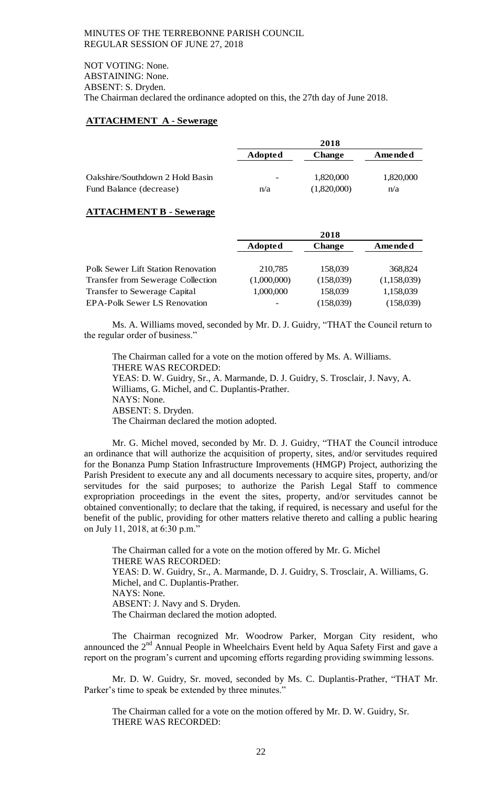NOT VOTING: None. ABSTAINING: None. ABSENT: S. Dryden. The Chairman declared the ordinance adopted on this, the 27th day of June 2018.

## **ATTACHMENT A - Sewerage**

|                                 | 2018                     |               |           |
|---------------------------------|--------------------------|---------------|-----------|
|                                 | <b>Adopted</b>           | <b>Change</b> | Amended   |
|                                 |                          |               |           |
| Oakshire/Southdown 2 Hold Basin | $\overline{\phantom{0}}$ | 1,820,000     | 1,820,000 |
| Fund Balance (decrease)         | n/a                      | (1,820,000)   | n/a       |

## **ATTACHMENT B - Sewerage**

|                                           | 2018           |               |             |
|-------------------------------------------|----------------|---------------|-------------|
|                                           | <b>Adopted</b> | <b>Change</b> | Amended     |
|                                           |                |               |             |
| <b>Polk Sewer Lift Station Renovation</b> | 210,785        | 158,039       | 368,824     |
| <b>Transfer from Sewerage Collection</b>  | (1,000,000)    | (158,039)     | (1,158,039) |
| <b>Transfer to Sewerage Capital</b>       | 1,000,000      | 158,039       | 1,158,039   |
| <b>EPA-Polk Sewer LS Renovation</b>       |                | (158,039)     | (158,039)   |

Ms. A. Williams moved, seconded by Mr. D. J. Guidry, "THAT the Council return to the regular order of business."

The Chairman called for a vote on the motion offered by Ms. A. Williams. THERE WAS RECORDED: YEAS: D. W. Guidry, Sr., A. Marmande, D. J. Guidry, S. Trosclair, J. Navy, A. Williams, G. Michel, and C. Duplantis-Prather. NAYS: None. ABSENT: S. Dryden. The Chairman declared the motion adopted.

Mr. G. Michel moved, seconded by Mr. D. J. Guidry, "THAT the Council introduce an ordinance that will authorize the acquisition of property, sites, and/or servitudes required for the Bonanza Pump Station Infrastructure Improvements (HMGP) Project, authorizing the Parish President to execute any and all documents necessary to acquire sites, property, and/or servitudes for the said purposes; to authorize the Parish Legal Staff to commence expropriation proceedings in the event the sites, property, and/or servitudes cannot be obtained conventionally; to declare that the taking, if required, is necessary and useful for the benefit of the public, providing for other matters relative thereto and calling a public hearing on July 11, 2018, at 6:30 p.m."

The Chairman called for a vote on the motion offered by Mr. G. Michel THERE WAS RECORDED: YEAS: D. W. Guidry, Sr., A. Marmande, D. J. Guidry, S. Trosclair, A. Williams, G. Michel, and C. Duplantis-Prather. NAYS: None. ABSENT: J. Navy and S. Dryden. The Chairman declared the motion adopted.

The Chairman recognized Mr. Woodrow Parker, Morgan City resident, who announced the  $2<sup>nd</sup>$  Annual People in Wheelchairs Event held by Aqua Safety First and gave a report on the program's current and upcoming efforts regarding providing swimming lessons.

Mr. D. W. Guidry, Sr. moved, seconded by Ms. C. Duplantis-Prather, "THAT Mr. Parker's time to speak be extended by three minutes."

The Chairman called for a vote on the motion offered by Mr. D. W. Guidry, Sr. THERE WAS RECORDED: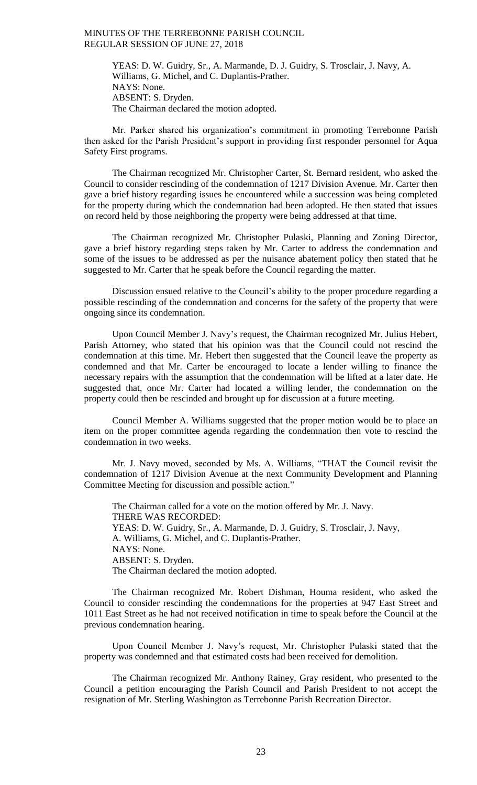YEAS: D. W. Guidry, Sr., A. Marmande, D. J. Guidry, S. Trosclair, J. Navy, A. Williams, G. Michel, and C. Duplantis-Prather. NAYS: None. ABSENT: S. Dryden. The Chairman declared the motion adopted.

Mr. Parker shared his organization's commitment in promoting Terrebonne Parish then asked for the Parish President's support in providing first responder personnel for Aqua Safety First programs.

The Chairman recognized Mr. Christopher Carter, St. Bernard resident, who asked the Council to consider rescinding of the condemnation of 1217 Division Avenue. Mr. Carter then gave a brief history regarding issues he encountered while a succession was being completed for the property during which the condemnation had been adopted. He then stated that issues on record held by those neighboring the property were being addressed at that time.

The Chairman recognized Mr. Christopher Pulaski, Planning and Zoning Director, gave a brief history regarding steps taken by Mr. Carter to address the condemnation and some of the issues to be addressed as per the nuisance abatement policy then stated that he suggested to Mr. Carter that he speak before the Council regarding the matter.

Discussion ensued relative to the Council's ability to the proper procedure regarding a possible rescinding of the condemnation and concerns for the safety of the property that were ongoing since its condemnation.

Upon Council Member J. Navy's request, the Chairman recognized Mr. Julius Hebert, Parish Attorney, who stated that his opinion was that the Council could not rescind the condemnation at this time. Mr. Hebert then suggested that the Council leave the property as condemned and that Mr. Carter be encouraged to locate a lender willing to finance the necessary repairs with the assumption that the condemnation will be lifted at a later date. He suggested that, once Mr. Carter had located a willing lender, the condemnation on the property could then be rescinded and brought up for discussion at a future meeting.

Council Member A. Williams suggested that the proper motion would be to place an item on the proper committee agenda regarding the condemnation then vote to rescind the condemnation in two weeks.

Mr. J. Navy moved, seconded by Ms. A. Williams, "THAT the Council revisit the condemnation of 1217 Division Avenue at the next Community Development and Planning Committee Meeting for discussion and possible action."

The Chairman called for a vote on the motion offered by Mr. J. Navy. THERE WAS RECORDED: YEAS: D. W. Guidry, Sr., A. Marmande, D. J. Guidry, S. Trosclair, J. Navy, A. Williams, G. Michel, and C. Duplantis-Prather. NAYS: None. ABSENT: S. Dryden. The Chairman declared the motion adopted.

The Chairman recognized Mr. Robert Dishman, Houma resident, who asked the Council to consider rescinding the condemnations for the properties at 947 East Street and 1011 East Street as he had not received notification in time to speak before the Council at the previous condemnation hearing.

Upon Council Member J. Navy's request, Mr. Christopher Pulaski stated that the property was condemned and that estimated costs had been received for demolition.

The Chairman recognized Mr. Anthony Rainey, Gray resident, who presented to the Council a petition encouraging the Parish Council and Parish President to not accept the resignation of Mr. Sterling Washington as Terrebonne Parish Recreation Director.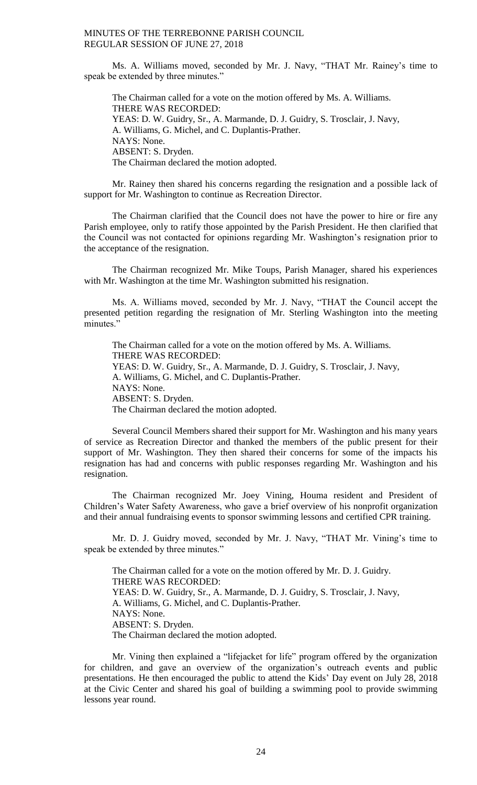Ms. A. Williams moved, seconded by Mr. J. Navy, "THAT Mr. Rainey's time to speak be extended by three minutes."

The Chairman called for a vote on the motion offered by Ms. A. Williams. THERE WAS RECORDED: YEAS: D. W. Guidry, Sr., A. Marmande, D. J. Guidry, S. Trosclair, J. Navy, A. Williams, G. Michel, and C. Duplantis-Prather. NAYS: None. ABSENT: S. Dryden. The Chairman declared the motion adopted.

Mr. Rainey then shared his concerns regarding the resignation and a possible lack of support for Mr. Washington to continue as Recreation Director.

The Chairman clarified that the Council does not have the power to hire or fire any Parish employee, only to ratify those appointed by the Parish President. He then clarified that the Council was not contacted for opinions regarding Mr. Washington's resignation prior to the acceptance of the resignation.

The Chairman recognized Mr. Mike Toups, Parish Manager, shared his experiences with Mr. Washington at the time Mr. Washington submitted his resignation.

Ms. A. Williams moved, seconded by Mr. J. Navy, "THAT the Council accept the presented petition regarding the resignation of Mr. Sterling Washington into the meeting minutes."

The Chairman called for a vote on the motion offered by Ms. A. Williams. THERE WAS RECORDED: YEAS: D. W. Guidry, Sr., A. Marmande, D. J. Guidry, S. Trosclair, J. Navy, A. Williams, G. Michel, and C. Duplantis-Prather. NAYS: None. ABSENT: S. Dryden. The Chairman declared the motion adopted.

Several Council Members shared their support for Mr. Washington and his many years of service as Recreation Director and thanked the members of the public present for their support of Mr. Washington. They then shared their concerns for some of the impacts his resignation has had and concerns with public responses regarding Mr. Washington and his resignation.

The Chairman recognized Mr. Joey Vining, Houma resident and President of Children's Water Safety Awareness, who gave a brief overview of his nonprofit organization and their annual fundraising events to sponsor swimming lessons and certified CPR training.

Mr. D. J. Guidry moved, seconded by Mr. J. Navy, "THAT Mr. Vining's time to speak be extended by three minutes."

The Chairman called for a vote on the motion offered by Mr. D. J. Guidry. THERE WAS RECORDED: YEAS: D. W. Guidry, Sr., A. Marmande, D. J. Guidry, S. Trosclair, J. Navy, A. Williams, G. Michel, and C. Duplantis-Prather. NAYS: None. ABSENT: S. Dryden. The Chairman declared the motion adopted.

Mr. Vining then explained a "lifejacket for life" program offered by the organization for children, and gave an overview of the organization's outreach events and public presentations. He then encouraged the public to attend the Kids' Day event on July 28, 2018 at the Civic Center and shared his goal of building a swimming pool to provide swimming lessons year round.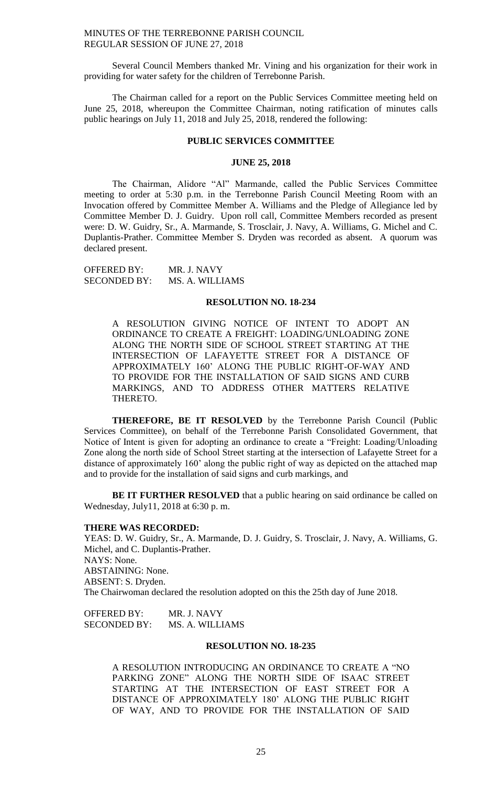Several Council Members thanked Mr. Vining and his organization for their work in providing for water safety for the children of Terrebonne Parish.

The Chairman called for a report on the Public Services Committee meeting held on June 25, 2018, whereupon the Committee Chairman, noting ratification of minutes calls public hearings on July 11, 2018 and July 25, 2018, rendered the following:

#### **PUBLIC SERVICES COMMITTEE**

#### **JUNE 25, 2018**

The Chairman, Alidore "Al" Marmande, called the Public Services Committee meeting to order at 5:30 p.m. in the Terrebonne Parish Council Meeting Room with an Invocation offered by Committee Member A. Williams and the Pledge of Allegiance led by Committee Member D. J. Guidry. Upon roll call, Committee Members recorded as present were: D. W. Guidry, Sr., A. Marmande, S. Trosclair, J. Navy, A. Williams, G. Michel and C. Duplantis-Prather. Committee Member S. Dryden was recorded as absent. A quorum was declared present.

| <b>OFFERED BY:</b>  | MR. J. NAVY     |
|---------------------|-----------------|
| <b>SECONDED BY:</b> | MS. A. WILLIAMS |

### **RESOLUTION NO. 18-234**

A RESOLUTION GIVING NOTICE OF INTENT TO ADOPT AN ORDINANCE TO CREATE A FREIGHT: LOADING/UNLOADING ZONE ALONG THE NORTH SIDE OF SCHOOL STREET STARTING AT THE INTERSECTION OF LAFAYETTE STREET FOR A DISTANCE OF APPROXIMATELY 160' ALONG THE PUBLIC RIGHT-OF-WAY AND TO PROVIDE FOR THE INSTALLATION OF SAID SIGNS AND CURB MARKINGS, AND TO ADDRESS OTHER MATTERS RELATIVE THERETO.

**THEREFORE, BE IT RESOLVED** by the Terrebonne Parish Council (Public Services Committee), on behalf of the Terrebonne Parish Consolidated Government, that Notice of Intent is given for adopting an ordinance to create a "Freight: Loading/Unloading Zone along the north side of School Street starting at the intersection of Lafayette Street for a distance of approximately 160' along the public right of way as depicted on the attached map and to provide for the installation of said signs and curb markings, and

**BE IT FURTHER RESOLVED** that a public hearing on said ordinance be called on Wednesday, July11, 2018 at 6:30 p. m.

#### **THERE WAS RECORDED:**

YEAS: D. W. Guidry, Sr., A. Marmande, D. J. Guidry, S. Trosclair, J. Navy, A. Williams, G. Michel, and C. Duplantis-Prather. NAYS: None. ABSTAINING: None. ABSENT: S. Dryden. The Chairwoman declared the resolution adopted on this the 25th day of June 2018.

OFFERED BY: MR. J. NAVY SECONDED BY: MS. A. WILLIAMS

#### **RESOLUTION NO. 18-235**

A RESOLUTION INTRODUCING AN ORDINANCE TO CREATE A "NO PARKING ZONE" ALONG THE NORTH SIDE OF ISAAC STREET STARTING AT THE INTERSECTION OF EAST STREET FOR A DISTANCE OF APPROXIMATELY 180' ALONG THE PUBLIC RIGHT OF WAY, AND TO PROVIDE FOR THE INSTALLATION OF SAID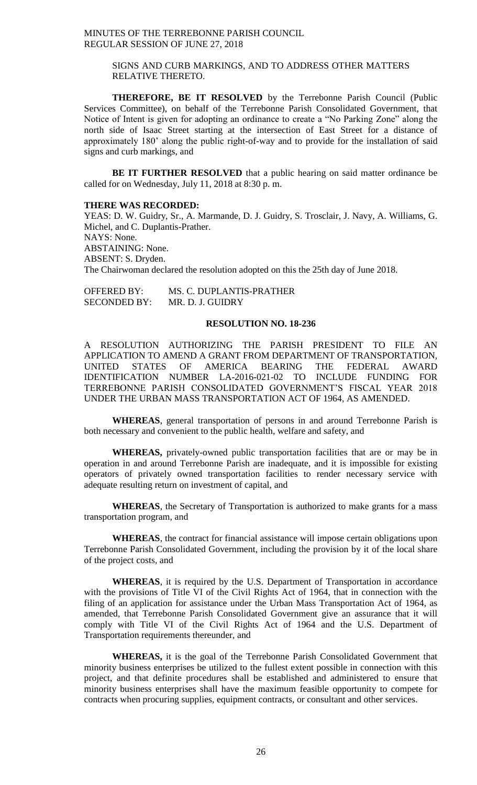## SIGNS AND CURB MARKINGS, AND TO ADDRESS OTHER MATTERS RELATIVE THERETO.

**THEREFORE, BE IT RESOLVED** by the Terrebonne Parish Council (Public Services Committee), on behalf of the Terrebonne Parish Consolidated Government, that Notice of Intent is given for adopting an ordinance to create a "No Parking Zone" along the north side of Isaac Street starting at the intersection of East Street for a distance of approximately 180' along the public right-of-way and to provide for the installation of said signs and curb markings, and

BE IT FURTHER RESOLVED that a public hearing on said matter ordinance be called for on Wednesday, July 11, 2018 at 8:30 p. m.

## **THERE WAS RECORDED:**

YEAS: D. W. Guidry, Sr., A. Marmande, D. J. Guidry, S. Trosclair, J. Navy, A. Williams, G. Michel, and C. Duplantis-Prather. NAYS: None. ABSTAINING: None. ABSENT: S. Dryden. The Chairwoman declared the resolution adopted on this the 25th day of June 2018.

| OFFERED BY:         | MS. C. DUPLANTIS-PRATHER |
|---------------------|--------------------------|
| <b>SECONDED BY:</b> | MR. D. J. GUIDRY         |

#### **RESOLUTION NO. 18-236**

A RESOLUTION AUTHORIZING THE PARISH PRESIDENT TO FILE AN APPLICATION TO AMEND A GRANT FROM DEPARTMENT OF TRANSPORTATION, UNITED STATES OF AMERICA BEARING THE FEDERAL AWARD IDENTIFICATION NUMBER LA-2016-021-02 TO INCLUDE FUNDING FOR TERREBONNE PARISH CONSOLIDATED GOVERNMENT'S FISCAL YEAR 2018 UNDER THE URBAN MASS TRANSPORTATION ACT OF 1964, AS AMENDED.

**WHEREAS**, general transportation of persons in and around Terrebonne Parish is both necessary and convenient to the public health, welfare and safety, and

**WHEREAS,** privately-owned public transportation facilities that are or may be in operation in and around Terrebonne Parish are inadequate, and it is impossible for existing operators of privately owned transportation facilities to render necessary service with adequate resulting return on investment of capital, and

**WHEREAS**, the Secretary of Transportation is authorized to make grants for a mass transportation program, and

**WHEREAS**, the contract for financial assistance will impose certain obligations upon Terrebonne Parish Consolidated Government, including the provision by it of the local share of the project costs, and

**WHEREAS**, it is required by the U.S. Department of Transportation in accordance with the provisions of Title VI of the Civil Rights Act of 1964, that in connection with the filing of an application for assistance under the Urban Mass Transportation Act of 1964, as amended, that Terrebonne Parish Consolidated Government give an assurance that it will comply with Title VI of the Civil Rights Act of 1964 and the U.S. Department of Transportation requirements thereunder, and

**WHEREAS,** it is the goal of the Terrebonne Parish Consolidated Government that minority business enterprises be utilized to the fullest extent possible in connection with this project, and that definite procedures shall be established and administered to ensure that minority business enterprises shall have the maximum feasible opportunity to compete for contracts when procuring supplies, equipment contracts, or consultant and other services.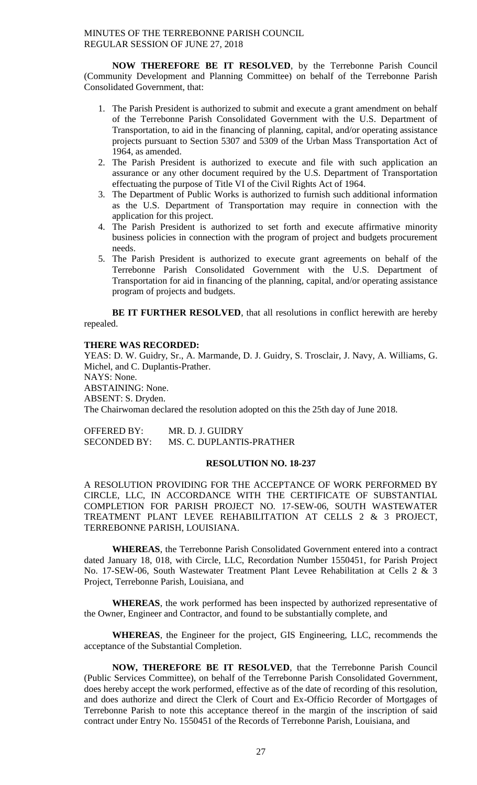**NOW THEREFORE BE IT RESOLVED**, by the Terrebonne Parish Council (Community Development and Planning Committee) on behalf of the Terrebonne Parish Consolidated Government, that:

- 1. The Parish President is authorized to submit and execute a grant amendment on behalf of the Terrebonne Parish Consolidated Government with the U.S. Department of Transportation, to aid in the financing of planning, capital, and/or operating assistance projects pursuant to Section 5307 and 5309 of the Urban Mass Transportation Act of 1964, as amended.
- 2. The Parish President is authorized to execute and file with such application an assurance or any other document required by the U.S. Department of Transportation effectuating the purpose of Title VI of the Civil Rights Act of 1964.
- 3. The Department of Public Works is authorized to furnish such additional information as the U.S. Department of Transportation may require in connection with the application for this project.
- 4. The Parish President is authorized to set forth and execute affirmative minority business policies in connection with the program of project and budgets procurement needs.
- 5. The Parish President is authorized to execute grant agreements on behalf of the Terrebonne Parish Consolidated Government with the U.S. Department of Transportation for aid in financing of the planning, capital, and/or operating assistance program of projects and budgets.

**BE IT FURTHER RESOLVED**, that all resolutions in conflict herewith are hereby repealed.

## **THERE WAS RECORDED:**

YEAS: D. W. Guidry, Sr., A. Marmande, D. J. Guidry, S. Trosclair, J. Navy, A. Williams, G. Michel, and C. Duplantis-Prather. NAYS: None. ABSTAINING: None. ABSENT: S. Dryden. The Chairwoman declared the resolution adopted on this the 25th day of June 2018.

| <b>OFFERED BY:</b>  | MR. D. J. GUIDRY         |
|---------------------|--------------------------|
| <b>SECONDED BY:</b> | MS. C. DUPLANTIS-PRATHER |

## **RESOLUTION NO. 18-237**

A RESOLUTION PROVIDING FOR THE ACCEPTANCE OF WORK PERFORMED BY CIRCLE, LLC, IN ACCORDANCE WITH THE CERTIFICATE OF SUBSTANTIAL COMPLETION FOR PARISH PROJECT NO. 17-SEW-06, SOUTH WASTEWATER TREATMENT PLANT LEVEE REHABILITATION AT CELLS 2 & 3 PROJECT, TERREBONNE PARISH, LOUISIANA.

**WHEREAS**, the Terrebonne Parish Consolidated Government entered into a contract dated January 18, 018, with Circle, LLC, Recordation Number 1550451, for Parish Project No. 17-SEW-06, South Wastewater Treatment Plant Levee Rehabilitation at Cells 2 & 3 Project, Terrebonne Parish, Louisiana, and

**WHEREAS**, the work performed has been inspected by authorized representative of the Owner, Engineer and Contractor, and found to be substantially complete, and

**WHEREAS**, the Engineer for the project, GIS Engineering, LLC, recommends the acceptance of the Substantial Completion.

**NOW, THEREFORE BE IT RESOLVED**, that the Terrebonne Parish Council (Public Services Committee), on behalf of the Terrebonne Parish Consolidated Government, does hereby accept the work performed, effective as of the date of recording of this resolution, and does authorize and direct the Clerk of Court and Ex-Officio Recorder of Mortgages of Terrebonne Parish to note this acceptance thereof in the margin of the inscription of said contract under Entry No. 1550451 of the Records of Terrebonne Parish, Louisiana, and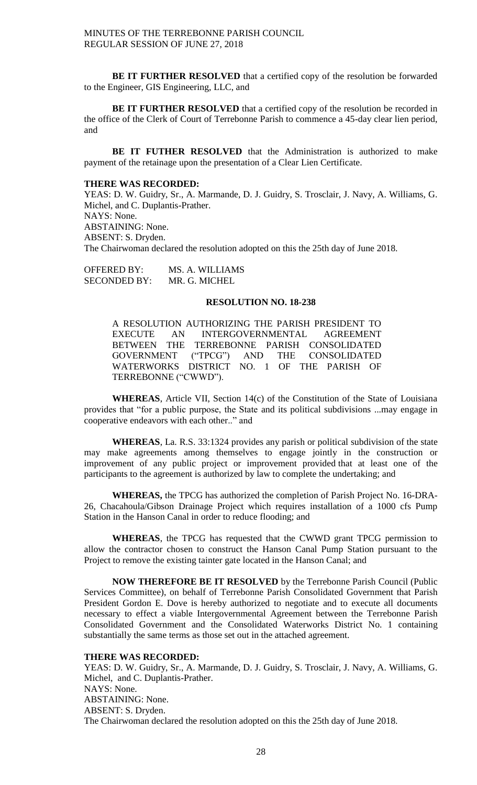**BE IT FURTHER RESOLVED** that a certified copy of the resolution be forwarded to the Engineer, GIS Engineering, LLC, and

**BE IT FURTHER RESOLVED** that a certified copy of the resolution be recorded in the office of the Clerk of Court of Terrebonne Parish to commence a 45-day clear lien period, and

BE IT FUTHER RESOLVED that the Administration is authorized to make payment of the retainage upon the presentation of a Clear Lien Certificate.

### **THERE WAS RECORDED:**

YEAS: D. W. Guidry, Sr., A. Marmande, D. J. Guidry, S. Trosclair, J. Navy, A. Williams, G. Michel, and C. Duplantis-Prather. NAYS: None. ABSTAINING: None. ABSENT: S. Dryden. The Chairwoman declared the resolution adopted on this the 25th day of June 2018.

OFFERED BY: MS. A. WILLIAMS SECONDED BY: MR. G. MICHEL

# **RESOLUTION NO. 18-238**

A RESOLUTION AUTHORIZING THE PARISH PRESIDENT TO EXECUTE AN INTERGOVERNMENTAL AGREEMENT BETWEEN THE TERREBONNE PARISH CONSOLIDATED GOVERNMENT ("TPCG") AND THE CONSOLIDATED WATERWORKS DISTRICT NO. 1 OF THE PARISH OF TERREBONNE ("CWWD").

**WHEREAS**, Article VII, Section 14(c) of the Constitution of the State of Louisiana provides that "for a public purpose, the State and its political subdivisions ...may engage in cooperative endeavors with each other.." and

**WHEREAS**, La. R.S. 33:1324 provides any parish or political subdivision of the state may make agreements among themselves to engage jointly in the construction or improvement of any public project or improvement provided that at least one of the participants to the agreement is authorized by law to complete the undertaking; and

**WHEREAS,** the TPCG has authorized the completion of Parish Project No. 16-DRA-26, Chacahoula/Gibson Drainage Project which requires installation of a 1000 cfs Pump Station in the Hanson Canal in order to reduce flooding; and

**WHEREAS**, the TPCG has requested that the CWWD grant TPCG permission to allow the contractor chosen to construct the Hanson Canal Pump Station pursuant to the Project to remove the existing tainter gate located in the Hanson Canal; and

**NOW THEREFORE BE IT RESOLVED** by the Terrebonne Parish Council (Public Services Committee), on behalf of Terrebonne Parish Consolidated Government that Parish President Gordon E. Dove is hereby authorized to negotiate and to execute all documents necessary to effect a viable Intergovernmental Agreement between the Terrebonne Parish Consolidated Government and the Consolidated Waterworks District No. 1 containing substantially the same terms as those set out in the attached agreement.

# **THERE WAS RECORDED:**

YEAS: D. W. Guidry, Sr., A. Marmande, D. J. Guidry, S. Trosclair, J. Navy, A. Williams, G. Michel, and C. Duplantis-Prather. NAYS: None. ABSTAINING: None. ABSENT: S. Dryden. The Chairwoman declared the resolution adopted on this the 25th day of June 2018.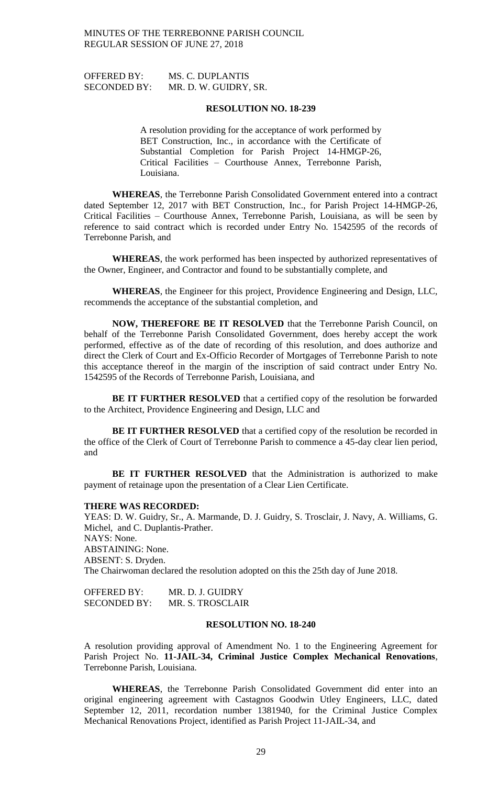OFFERED BY: MS. C. DUPLANTIS SECONDED BY: MR. D. W. GUIDRY, SR.

#### **RESOLUTION NO. 18-239**

A resolution providing for the acceptance of work performed by BET Construction, Inc., in accordance with the Certificate of Substantial Completion for Parish Project 14-HMGP-26, Critical Facilities – Courthouse Annex, Terrebonne Parish, Louisiana.

**WHEREAS**, the Terrebonne Parish Consolidated Government entered into a contract dated September 12, 2017 with BET Construction, Inc., for Parish Project 14-HMGP-26, Critical Facilities – Courthouse Annex, Terrebonne Parish, Louisiana, as will be seen by reference to said contract which is recorded under Entry No. 1542595 of the records of Terrebonne Parish, and

**WHEREAS**, the work performed has been inspected by authorized representatives of the Owner, Engineer, and Contractor and found to be substantially complete, and

**WHEREAS**, the Engineer for this project, Providence Engineering and Design, LLC, recommends the acceptance of the substantial completion, and

**NOW, THEREFORE BE IT RESOLVED** that the Terrebonne Parish Council, on behalf of the Terrebonne Parish Consolidated Government, does hereby accept the work performed, effective as of the date of recording of this resolution, and does authorize and direct the Clerk of Court and Ex-Officio Recorder of Mortgages of Terrebonne Parish to note this acceptance thereof in the margin of the inscription of said contract under Entry No. 1542595 of the Records of Terrebonne Parish, Louisiana, and

**BE IT FURTHER RESOLVED** that a certified copy of the resolution be forwarded to the Architect, Providence Engineering and Design, LLC and

**BE IT FURTHER RESOLVED** that a certified copy of the resolution be recorded in the office of the Clerk of Court of Terrebonne Parish to commence a 45-day clear lien period, and

**BE IT FURTHER RESOLVED** that the Administration is authorized to make payment of retainage upon the presentation of a Clear Lien Certificate.

### **THERE WAS RECORDED:**

YEAS: D. W. Guidry, Sr., A. Marmande, D. J. Guidry, S. Trosclair, J. Navy, A. Williams, G. Michel, and C. Duplantis-Prather. NAYS: None. ABSTAINING: None. ABSENT: S. Dryden. The Chairwoman declared the resolution adopted on this the 25th day of June 2018.

OFFERED BY: MR. D. J. GUIDRY SECONDED BY: MR. S. TROSCLAIR

### **RESOLUTION NO. 18-240**

A resolution providing approval of Amendment No. 1 to the Engineering Agreement for Parish Project No. **11-JAIL-34, Criminal Justice Complex Mechanical Renovations**, Terrebonne Parish, Louisiana.

**WHEREAS**, the Terrebonne Parish Consolidated Government did enter into an original engineering agreement with Castagnos Goodwin Utley Engineers, LLC, dated September 12, 2011, recordation number 1381940, for the Criminal Justice Complex Mechanical Renovations Project, identified as Parish Project 11-JAIL-34, and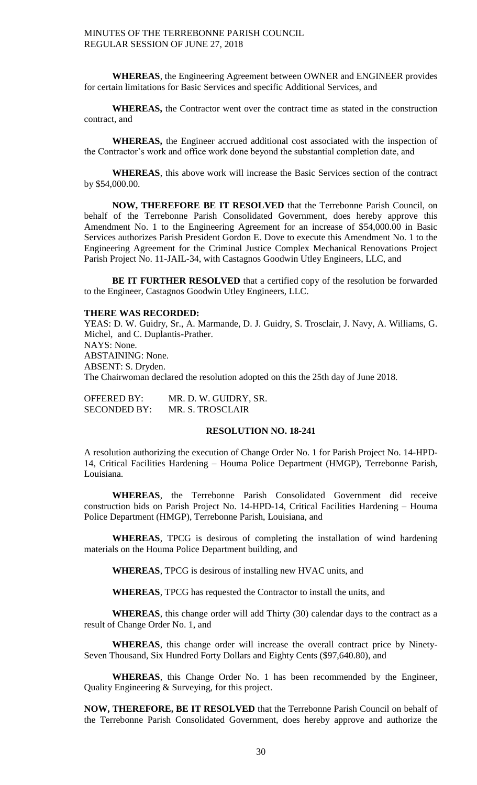**WHEREAS**, the Engineering Agreement between OWNER and ENGINEER provides for certain limitations for Basic Services and specific Additional Services, and

**WHEREAS,** the Contractor went over the contract time as stated in the construction contract, and

**WHEREAS,** the Engineer accrued additional cost associated with the inspection of the Contractor's work and office work done beyond the substantial completion date, and

**WHEREAS**, this above work will increase the Basic Services section of the contract by \$54,000.00.

**NOW, THEREFORE BE IT RESOLVED** that the Terrebonne Parish Council, on behalf of the Terrebonne Parish Consolidated Government, does hereby approve this Amendment No. 1 to the Engineering Agreement for an increase of \$54,000.00 in Basic Services authorizes Parish President Gordon E. Dove to execute this Amendment No. 1 to the Engineering Agreement for the Criminal Justice Complex Mechanical Renovations Project Parish Project No. 11-JAIL-34, with Castagnos Goodwin Utley Engineers, LLC, and

**BE IT FURTHER RESOLVED** that a certified copy of the resolution be forwarded to the Engineer, Castagnos Goodwin Utley Engineers, LLC.

### **THERE WAS RECORDED:**

YEAS: D. W. Guidry, Sr., A. Marmande, D. J. Guidry, S. Trosclair, J. Navy, A. Williams, G. Michel, and C. Duplantis-Prather. NAYS: None. ABSTAINING: None. ABSENT: S. Dryden. The Chairwoman declared the resolution adopted on this the 25th day of June 2018.

OFFERED BY: MR. D. W. GUIDRY, SR. SECONDED BY: MR. S. TROSCLAIR

## **RESOLUTION NO. 18-241**

A resolution authorizing the execution of Change Order No. 1 for Parish Project No. 14-HPD-14, Critical Facilities Hardening – Houma Police Department (HMGP), Terrebonne Parish, Louisiana.

**WHEREAS**, the Terrebonne Parish Consolidated Government did receive construction bids on Parish Project No. 14-HPD-14, Critical Facilities Hardening – Houma Police Department (HMGP), Terrebonne Parish, Louisiana, and

**WHEREAS**, TPCG is desirous of completing the installation of wind hardening materials on the Houma Police Department building, and

**WHEREAS**, TPCG is desirous of installing new HVAC units, and

**WHEREAS**, TPCG has requested the Contractor to install the units, and

**WHEREAS**, this change order will add Thirty (30) calendar days to the contract as a result of Change Order No. 1, and

**WHEREAS**, this change order will increase the overall contract price by Ninety-Seven Thousand, Six Hundred Forty Dollars and Eighty Cents (\$97,640.80), and

**WHEREAS**, this Change Order No. 1 has been recommended by the Engineer, Quality Engineering & Surveying, for this project.

**NOW, THEREFORE, BE IT RESOLVED** that the Terrebonne Parish Council on behalf of the Terrebonne Parish Consolidated Government, does hereby approve and authorize the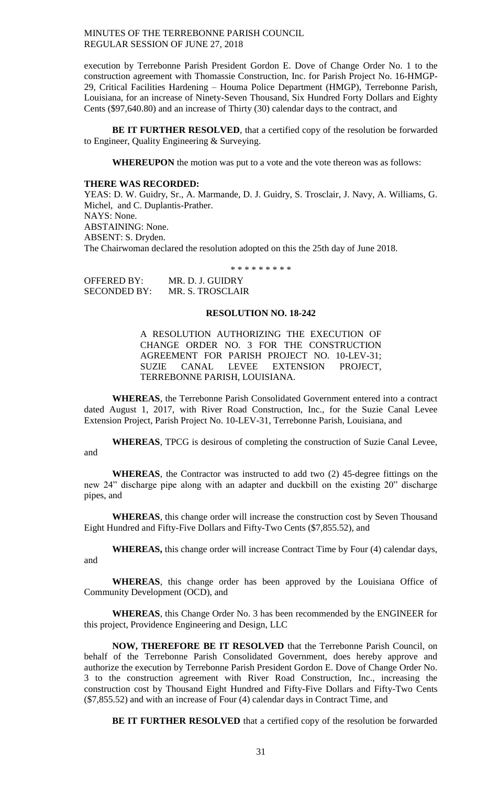execution by Terrebonne Parish President Gordon E. Dove of Change Order No. 1 to the construction agreement with Thomassie Construction, Inc. for Parish Project No. 16-HMGP-29, Critical Facilities Hardening – Houma Police Department (HMGP), Terrebonne Parish, Louisiana, for an increase of Ninety-Seven Thousand, Six Hundred Forty Dollars and Eighty Cents (\$97,640.80) and an increase of Thirty (30) calendar days to the contract, and

**BE IT FURTHER RESOLVED**, that a certified copy of the resolution be forwarded to Engineer, Quality Engineering & Surveying.

**WHEREUPON** the motion was put to a vote and the vote thereon was as follows:

#### **THERE WAS RECORDED:**

YEAS: D. W. Guidry, Sr., A. Marmande, D. J. Guidry, S. Trosclair, J. Navy, A. Williams, G. Michel, and C. Duplantis-Prather. NAYS: None. ABSTAINING: None. ABSENT: S. Dryden. The Chairwoman declared the resolution adopted on this the 25th day of June 2018.

\* \* \* \* \* \* \* \* \*

OFFERED BY: MR. D. J. GUIDRY SECONDED BY: MR. S. TROSCLAIR

### **RESOLUTION NO. 18-242**

A RESOLUTION AUTHORIZING THE EXECUTION OF CHANGE ORDER NO. 3 FOR THE CONSTRUCTION AGREEMENT FOR PARISH PROJECT NO. 10-LEV-31; SUZIE CANAL LEVEE EXTENSION PROJECT, TERREBONNE PARISH, LOUISIANA.

**WHEREAS**, the Terrebonne Parish Consolidated Government entered into a contract dated August 1, 2017, with River Road Construction, Inc., for the Suzie Canal Levee Extension Project, Parish Project No. 10-LEV-31, Terrebonne Parish, Louisiana, and

**WHEREAS**, TPCG is desirous of completing the construction of Suzie Canal Levee, and

**WHEREAS**, the Contractor was instructed to add two (2) 45-degree fittings on the new 24" discharge pipe along with an adapter and duckbill on the existing 20" discharge pipes, and

**WHEREAS**, this change order will increase the construction cost by Seven Thousand Eight Hundred and Fifty-Five Dollars and Fifty-Two Cents (\$7,855.52), and

**WHEREAS,** this change order will increase Contract Time by Four (4) calendar days, and

**WHEREAS**, this change order has been approved by the Louisiana Office of Community Development (OCD), and

**WHEREAS**, this Change Order No. 3 has been recommended by the ENGINEER for this project, Providence Engineering and Design, LLC

**NOW, THEREFORE BE IT RESOLVED** that the Terrebonne Parish Council, on behalf of the Terrebonne Parish Consolidated Government, does hereby approve and authorize the execution by Terrebonne Parish President Gordon E. Dove of Change Order No. 3 to the construction agreement with River Road Construction, Inc., increasing the construction cost by Thousand Eight Hundred and Fifty-Five Dollars and Fifty-Two Cents (\$7,855.52) and with an increase of Four (4) calendar days in Contract Time, and

**BE IT FURTHER RESOLVED** that a certified copy of the resolution be forwarded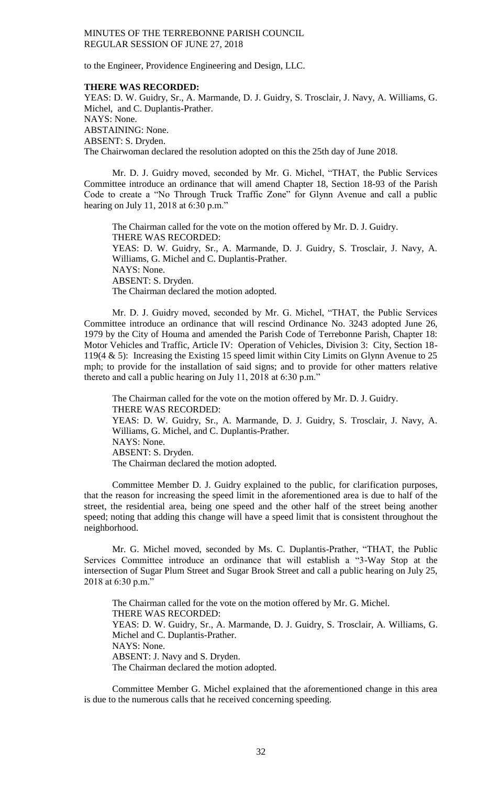to the Engineer, Providence Engineering and Design, LLC.

### **THERE WAS RECORDED:**

YEAS: D. W. Guidry, Sr., A. Marmande, D. J. Guidry, S. Trosclair, J. Navy, A. Williams, G. Michel, and C. Duplantis-Prather. NAYS: None. ABSTAINING: None. ABSENT: S. Dryden. The Chairwoman declared the resolution adopted on this the 25th day of June 2018.

Mr. D. J. Guidry moved, seconded by Mr. G. Michel, "THAT, the Public Services Committee introduce an ordinance that will amend Chapter 18, Section 18-93 of the Parish Code to create a "No Through Truck Traffic Zone" for Glynn Avenue and call a public hearing on July 11, 2018 at 6:30 p.m."

The Chairman called for the vote on the motion offered by Mr. D. J. Guidry. THERE WAS RECORDED: YEAS: D. W. Guidry, Sr., A. Marmande, D. J. Guidry, S. Trosclair, J. Navy, A. Williams, G. Michel and C. Duplantis-Prather. NAYS: None. ABSENT: S. Dryden. The Chairman declared the motion adopted.

Mr. D. J. Guidry moved, seconded by Mr. G. Michel, "THAT, the Public Services Committee introduce an ordinance that will rescind Ordinance No. 3243 adopted June 26, 1979 by the City of Houma and amended the Parish Code of Terrebonne Parish, Chapter 18: Motor Vehicles and Traffic, Article IV: Operation of Vehicles, Division 3: City, Section 18- 119(4 & 5): Increasing the Existing 15 speed limit within City Limits on Glynn Avenue to 25 mph; to provide for the installation of said signs; and to provide for other matters relative thereto and call a public hearing on July 11, 2018 at 6:30 p.m."

The Chairman called for the vote on the motion offered by Mr. D. J. Guidry. THERE WAS RECORDED: YEAS: D. W. Guidry, Sr., A. Marmande, D. J. Guidry, S. Trosclair, J. Navy, A. Williams, G. Michel, and C. Duplantis-Prather. NAYS: None. ABSENT: S. Dryden. The Chairman declared the motion adopted.

Committee Member D. J. Guidry explained to the public, for clarification purposes, that the reason for increasing the speed limit in the aforementioned area is due to half of the street, the residential area, being one speed and the other half of the street being another speed; noting that adding this change will have a speed limit that is consistent throughout the neighborhood.

Mr. G. Michel moved, seconded by Ms. C. Duplantis-Prather, "THAT, the Public Services Committee introduce an ordinance that will establish a "3-Way Stop at the intersection of Sugar Plum Street and Sugar Brook Street and call a public hearing on July 25, 2018 at 6:30 p.m."

The Chairman called for the vote on the motion offered by Mr. G. Michel. THERE WAS RECORDED: YEAS: D. W. Guidry, Sr., A. Marmande, D. J. Guidry, S. Trosclair, A. Williams, G. Michel and C. Duplantis-Prather. NAYS: None. ABSENT: J. Navy and S. Dryden. The Chairman declared the motion adopted.

Committee Member G. Michel explained that the aforementioned change in this area is due to the numerous calls that he received concerning speeding.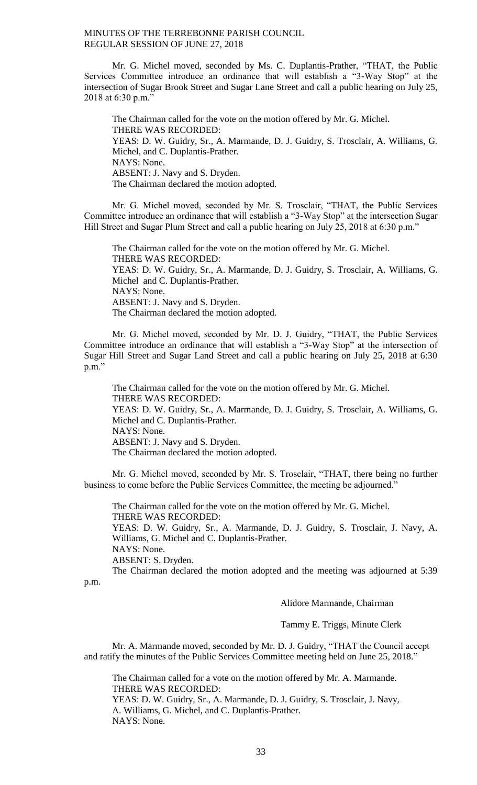Mr. G. Michel moved, seconded by Ms. C. Duplantis-Prather, "THAT, the Public Services Committee introduce an ordinance that will establish a "3-Way Stop" at the intersection of Sugar Brook Street and Sugar Lane Street and call a public hearing on July 25, 2018 at 6:30 p.m."

The Chairman called for the vote on the motion offered by Mr. G. Michel. THERE WAS RECORDED: YEAS: D. W. Guidry, Sr., A. Marmande, D. J. Guidry, S. Trosclair, A. Williams, G. Michel, and C. Duplantis-Prather. NAYS: None. ABSENT: J. Navy and S. Dryden. The Chairman declared the motion adopted.

Mr. G. Michel moved, seconded by Mr. S. Trosclair, "THAT, the Public Services Committee introduce an ordinance that will establish a "3-Way Stop" at the intersection Sugar Hill Street and Sugar Plum Street and call a public hearing on July 25, 2018 at 6:30 p.m."

The Chairman called for the vote on the motion offered by Mr. G. Michel. THERE WAS RECORDED: YEAS: D. W. Guidry, Sr., A. Marmande, D. J. Guidry, S. Trosclair, A. Williams, G. Michel and C. Duplantis-Prather. NAYS: None. ABSENT: J. Navy and S. Dryden. The Chairman declared the motion adopted.

Mr. G. Michel moved, seconded by Mr. D. J. Guidry, "THAT, the Public Services Committee introduce an ordinance that will establish a "3-Way Stop" at the intersection of Sugar Hill Street and Sugar Land Street and call a public hearing on July 25, 2018 at 6:30 p.m."

The Chairman called for the vote on the motion offered by Mr. G. Michel. THERE WAS RECORDED: YEAS: D. W. Guidry, Sr., A. Marmande, D. J. Guidry, S. Trosclair, A. Williams, G. Michel and C. Duplantis-Prather. NAYS: None. ABSENT: J. Navy and S. Dryden. The Chairman declared the motion adopted.

Mr. G. Michel moved, seconded by Mr. S. Trosclair, "THAT, there being no further business to come before the Public Services Committee, the meeting be adjourned."

The Chairman called for the vote on the motion offered by Mr. G. Michel. THERE WAS RECORDED: YEAS: D. W. Guidry, Sr., A. Marmande, D. J. Guidry, S. Trosclair, J. Navy, A. Williams, G. Michel and C. Duplantis-Prather. NAYS: None. ABSENT: S. Dryden. The Chairman declared the motion adopted and the meeting was adjourned at 5:39

p.m.

Alidore Marmande, Chairman

Tammy E. Triggs, Minute Clerk

Mr. A. Marmande moved, seconded by Mr. D. J. Guidry, "THAT the Council accept and ratify the minutes of the Public Services Committee meeting held on June 25, 2018."

The Chairman called for a vote on the motion offered by Mr. A. Marmande. THERE WAS RECORDED: YEAS: D. W. Guidry, Sr., A. Marmande, D. J. Guidry, S. Trosclair, J. Navy, A. Williams, G. Michel, and C. Duplantis-Prather. NAYS: None.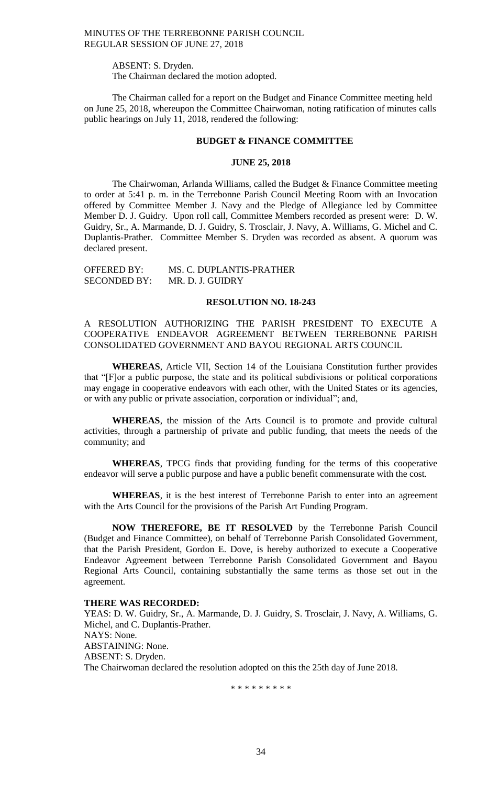ABSENT: S. Dryden.

The Chairman declared the motion adopted.

The Chairman called for a report on the Budget and Finance Committee meeting held on June 25, 2018, whereupon the Committee Chairwoman, noting ratification of minutes calls public hearings on July 11, 2018, rendered the following:

#### **BUDGET & FINANCE COMMITTEE**

#### **JUNE 25, 2018**

The Chairwoman, Arlanda Williams, called the Budget & Finance Committee meeting to order at 5:41 p. m. in the Terrebonne Parish Council Meeting Room with an Invocation offered by Committee Member J. Navy and the Pledge of Allegiance led by Committee Member D. J. Guidry. Upon roll call, Committee Members recorded as present were: D. W. Guidry, Sr., A. Marmande, D. J. Guidry, S. Trosclair, J. Navy, A. Williams, G. Michel and C. Duplantis-Prather. Committee Member S. Dryden was recorded as absent. A quorum was declared present.

OFFERED BY: MS. C. DUPLANTIS-PRATHER SECONDED BY: MR. D. J. GUIDRY

# **RESOLUTION NO. 18-243**

A RESOLUTION AUTHORIZING THE PARISH PRESIDENT TO EXECUTE A COOPERATIVE ENDEAVOR AGREEMENT BETWEEN TERREBONNE PARISH CONSOLIDATED GOVERNMENT AND BAYOU REGIONAL ARTS COUNCIL

**WHEREAS**, Article VII, Section 14 of the Louisiana Constitution further provides that "[F]or a public purpose, the state and its political subdivisions or political corporations may engage in cooperative endeavors with each other, with the United States or its agencies, or with any public or private association, corporation or individual"; and,

**WHEREAS**, the mission of the Arts Council is to promote and provide cultural activities, through a partnership of private and public funding, that meets the needs of the community; and

**WHEREAS**, TPCG finds that providing funding for the terms of this cooperative endeavor will serve a public purpose and have a public benefit commensurate with the cost.

**WHEREAS**, it is the best interest of Terrebonne Parish to enter into an agreement with the Arts Council for the provisions of the Parish Art Funding Program.

**NOW THEREFORE, BE IT RESOLVED** by the Terrebonne Parish Council (Budget and Finance Committee), on behalf of Terrebonne Parish Consolidated Government, that the Parish President, Gordon E. Dove, is hereby authorized to execute a Cooperative Endeavor Agreement between Terrebonne Parish Consolidated Government and Bayou Regional Arts Council, containing substantially the same terms as those set out in the agreement.

### **THERE WAS RECORDED:**

YEAS: D. W. Guidry, Sr., A. Marmande, D. J. Guidry, S. Trosclair, J. Navy, A. Williams, G. Michel, and C. Duplantis-Prather. NAYS: None. ABSTAINING: None. ABSENT: S. Dryden. The Chairwoman declared the resolution adopted on this the 25th day of June 2018.

\* \* \* \* \* \* \* \* \*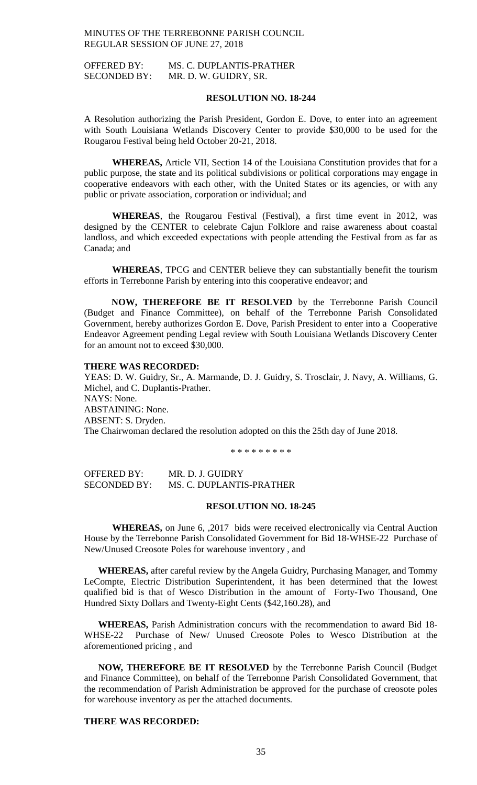OFFERED BY: MS. C. DUPLANTIS-PRATHER SECONDED BY: MR. D. W. GUIDRY, SR.

## **RESOLUTION NO. 18-244**

A Resolution authorizing the Parish President, Gordon E. Dove, to enter into an agreement with South Louisiana Wetlands Discovery Center to provide \$30,000 to be used for the Rougarou Festival being held October 20-21, 2018.

**WHEREAS,** Article VII, Section 14 of the Louisiana Constitution provides that for a public purpose, the state and its political subdivisions or political corporations may engage in cooperative endeavors with each other, with the United States or its agencies, or with any public or private association, corporation or individual; and

**WHEREAS**, the Rougarou Festival (Festival), a first time event in 2012, was designed by the CENTER to celebrate Cajun Folklore and raise awareness about coastal landloss, and which exceeded expectations with people attending the Festival from as far as Canada; and

**WHEREAS**, TPCG and CENTER believe they can substantially benefit the tourism efforts in Terrebonne Parish by entering into this cooperative endeavor; and

**NOW, THEREFORE BE IT RESOLVED** by the Terrebonne Parish Council (Budget and Finance Committee), on behalf of the Terrebonne Parish Consolidated Government, hereby authorizes Gordon E. Dove, Parish President to enter into a Cooperative Endeavor Agreement pending Legal review with South Louisiana Wetlands Discovery Center for an amount not to exceed \$30,000.

### **THERE WAS RECORDED:**

YEAS: D. W. Guidry, Sr., A. Marmande, D. J. Guidry, S. Trosclair, J. Navy, A. Williams, G. Michel, and C. Duplantis-Prather. NAYS: None. ABSTAINING: None. ABSENT: S. Dryden. The Chairwoman declared the resolution adopted on this the 25th day of June 2018.

\* \* \* \* \* \* \* \* \*

OFFERED BY: MR. D. J. GUIDRY SECONDED BY: MS. C. DUPLANTIS-PRATHER

### **RESOLUTION NO. 18-245**

**WHEREAS,** on June 6, ,2017 bids were received electronically via Central Auction House by the Terrebonne Parish Consolidated Government for Bid 18-WHSE-22 Purchase of New/Unused Creosote Poles for warehouse inventory , and

**WHEREAS,** after careful review by the Angela Guidry, Purchasing Manager, and Tommy LeCompte, Electric Distribution Superintendent, it has been determined that the lowest qualified bid is that of Wesco Distribution in the amount of Forty-Two Thousand, One Hundred Sixty Dollars and Twenty-Eight Cents (\$42,160.28), and

**WHEREAS,** Parish Administration concurs with the recommendation to award Bid 18- WHSE-22 Purchase of New/ Unused Creosote Poles to Wesco Distribution at the aforementioned pricing , and

**NOW, THEREFORE BE IT RESOLVED** by the Terrebonne Parish Council (Budget and Finance Committee), on behalf of the Terrebonne Parish Consolidated Government, that the recommendation of Parish Administration be approved for the purchase of creosote poles for warehouse inventory as per the attached documents.

# **THERE WAS RECORDED:**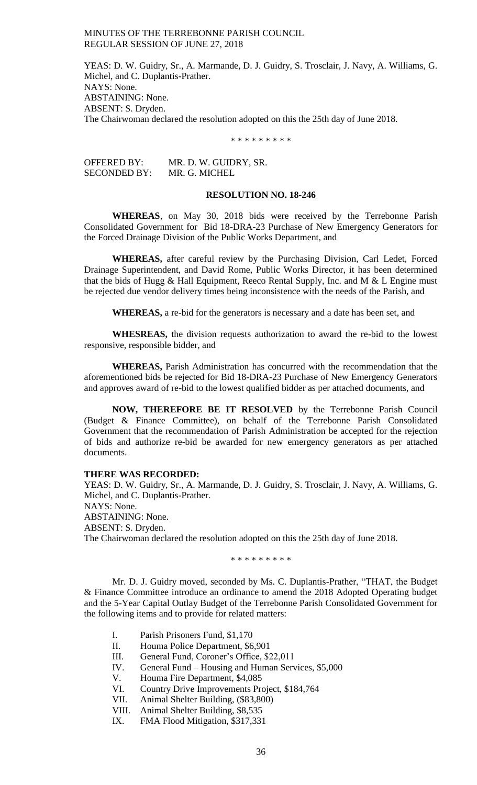YEAS: D. W. Guidry, Sr., A. Marmande, D. J. Guidry, S. Trosclair, J. Navy, A. Williams, G. Michel, and C. Duplantis-Prather. NAYS: None. ABSTAINING: None. ABSENT: S. Dryden. The Chairwoman declared the resolution adopted on this the 25th day of June 2018.

\* \* \* \* \* \* \* \* \*

OFFERED BY: MR. D. W. GUIDRY, SR. SECONDED BY: MR. G. MICHEL

# **RESOLUTION NO. 18-246**

**WHEREAS**, on May 30, 2018 bids were received by the Terrebonne Parish Consolidated Government for Bid 18-DRA-23 Purchase of New Emergency Generators for the Forced Drainage Division of the Public Works Department, and

**WHEREAS,** after careful review by the Purchasing Division, Carl Ledet, Forced Drainage Superintendent, and David Rome, Public Works Director, it has been determined that the bids of Hugg & Hall Equipment, Reeco Rental Supply, Inc. and M & L Engine must be rejected due vendor delivery times being inconsistence with the needs of the Parish, and

**WHEREAS,** a re-bid for the generators is necessary and a date has been set, and

**WHESREAS,** the division requests authorization to award the re-bid to the lowest responsive, responsible bidder, and

**WHEREAS,** Parish Administration has concurred with the recommendation that the aforementioned bids be rejected for Bid 18-DRA-23 Purchase of New Emergency Generators and approves award of re-bid to the lowest qualified bidder as per attached documents, and

**NOW, THEREFORE BE IT RESOLVED** by the Terrebonne Parish Council (Budget & Finance Committee), on behalf of the Terrebonne Parish Consolidated Government that the recommendation of Parish Administration be accepted for the rejection of bids and authorize re-bid be awarded for new emergency generators as per attached documents.

### **THERE WAS RECORDED:**

YEAS: D. W. Guidry, Sr., A. Marmande, D. J. Guidry, S. Trosclair, J. Navy, A. Williams, G. Michel, and C. Duplantis-Prather. NAYS: None. ABSTAINING: None. ABSENT: S. Dryden. The Chairwoman declared the resolution adopted on this the 25th day of June 2018.

\* \* \* \* \* \* \* \* \*

Mr. D. J. Guidry moved, seconded by Ms. C. Duplantis-Prather, "THAT, the Budget & Finance Committee introduce an ordinance to amend the 2018 Adopted Operating budget and the 5-Year Capital Outlay Budget of the Terrebonne Parish Consolidated Government for the following items and to provide for related matters:

- I. Parish Prisoners Fund, \$1,170
- II. Houma Police Department, \$6,901
- III. General Fund, Coroner's Office, \$22,011
- IV. General Fund Housing and Human Services, \$5,000
- V. Houma Fire Department, \$4,085
- VI. Country Drive Improvements Project, \$184,764
- VII. Animal Shelter Building, (\$83,800)
- VIII. Animal Shelter Building, \$8,535
- IX. FMA Flood Mitigation, \$317,331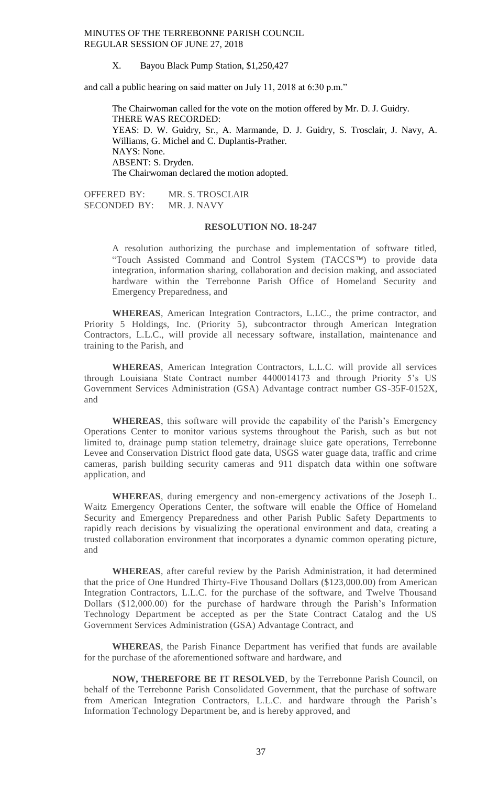X. Bayou Black Pump Station, \$1,250,427

and call a public hearing on said matter on July 11, 2018 at 6:30 p.m."

The Chairwoman called for the vote on the motion offered by Mr. D. J. Guidry. THERE WAS RECORDED: YEAS: D. W. Guidry, Sr., A. Marmande, D. J. Guidry, S. Trosclair, J. Navy, A. Williams, G. Michel and C. Duplantis-Prather. NAYS: None. ABSENT: S. Dryden. The Chairwoman declared the motion adopted.

OFFERED BY: MR. S. TROSCLAIR<br>SECONDED BY: MR. J. NAVY SECONDED BY:

### **RESOLUTION NO. 18-247**

A resolution authorizing the purchase and implementation of software titled, "Touch Assisted Command and Control System (TACCS™) to provide data integration, information sharing, collaboration and decision making, and associated hardware within the Terrebonne Parish Office of Homeland Security and Emergency Preparedness, and

**WHEREAS**, American Integration Contractors, L.LC., the prime contractor, and Priority 5 Holdings, Inc. (Priority 5), subcontractor through American Integration Contractors, L.L.C., will provide all necessary software, installation, maintenance and training to the Parish, and

**WHEREAS**, American Integration Contractors, L.L.C. will provide all services through Louisiana State Contract number 4400014173 and through Priority 5's US Government Services Administration (GSA) Advantage contract number GS-35F-0152X, and

**WHEREAS**, this software will provide the capability of the Parish's Emergency Operations Center to monitor various systems throughout the Parish, such as but not limited to, drainage pump station telemetry, drainage sluice gate operations, Terrebonne Levee and Conservation District flood gate data, USGS water guage data, traffic and crime cameras, parish building security cameras and 911 dispatch data within one software application, and

**WHEREAS**, during emergency and non-emergency activations of the Joseph L. Waitz Emergency Operations Center, the software will enable the Office of Homeland Security and Emergency Preparedness and other Parish Public Safety Departments to rapidly reach decisions by visualizing the operational environment and data, creating a trusted collaboration environment that incorporates a dynamic common operating picture, and

**WHEREAS**, after careful review by the Parish Administration, it had determined that the price of One Hundred Thirty-Five Thousand Dollars (\$123,000.00) from American Integration Contractors, L.L.C. for the purchase of the software, and Twelve Thousand Dollars (\$12,000.00) for the purchase of hardware through the Parish's Information Technology Department be accepted as per the State Contract Catalog and the US Government Services Administration (GSA) Advantage Contract, and

**WHEREAS**, the Parish Finance Department has verified that funds are available for the purchase of the aforementioned software and hardware, and

**NOW, THEREFORE BE IT RESOLVED**, by the Terrebonne Parish Council, on behalf of the Terrebonne Parish Consolidated Government, that the purchase of software from American Integration Contractors, L.L.C. and hardware through the Parish's Information Technology Department be, and is hereby approved, and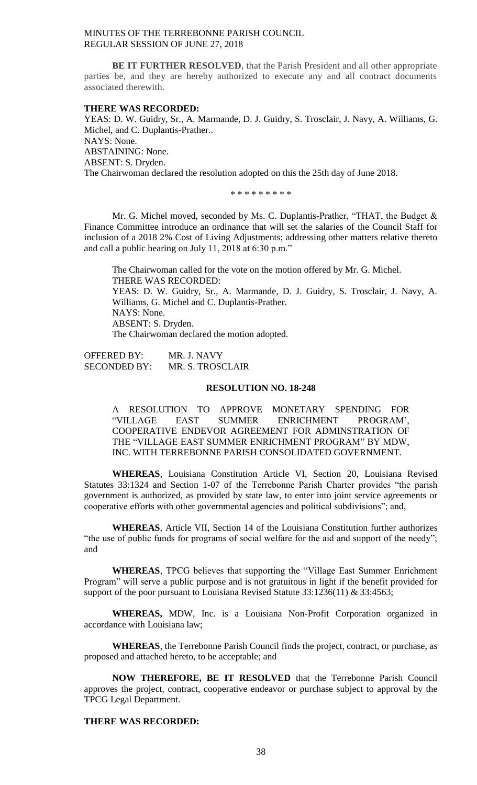**BE IT FURTHER RESOLVED**, that the Parish President and all other appropriate parties be, and they are hereby authorized to execute any and all contract documents associated therewith.

### **THERE WAS RECORDED:**

YEAS: D. W. Guidry, Sr., A. Marmande, D. J. Guidry, S. Trosclair, J. Navy, A. Williams, G. Michel, and C. Duplantis-Prather.. NAYS: None. ABSTAINING: None. ABSENT: S. Dryden. The Chairwoman declared the resolution adopted on this the 25th day of June 2018.

\* \* \* \* \* \* \* \* \*

Mr. G. Michel moved, seconded by Ms. C. Duplantis-Prather, "THAT, the Budget & Finance Committee introduce an ordinance that will set the salaries of the Council Staff for inclusion of a 2018 2% Cost of Living Adjustments; addressing other matters relative thereto and call a public hearing on July 11, 2018 at 6:30 p.m."

The Chairwoman called for the vote on the motion offered by Mr. G. Michel. THERE WAS RECORDED: YEAS: D. W. Guidry, Sr., A. Marmande, D. J. Guidry, S. Trosclair, J. Navy, A. Williams, G. Michel and C. Duplantis-Prather. NAYS: None. ABSENT: S. Dryden. The Chairwoman declared the motion adopted.

OFFERED BY: MR. J. NAVY SECONDED BY: MR. S. TROSCLAIR

### **RESOLUTION NO. 18-248**

A RESOLUTION TO APPROVE MONETARY SPENDING FOR "VILLAGE EAST SUMMER ENRICHMENT PROGRAM', COOPERATIVE ENDEVOR AGREEMENT FOR ADMINSTRATION OF THE "VILLAGE EAST SUMMER ENRICHMENT PROGRAM" BY MDW, INC. WITH TERREBONNE PARISH CONSOLIDATED GOVERNMENT.

**WHEREAS**, Louisiana Constitution Article VI, Section 20, Louisiana Revised Statutes 33:1324 and Section 1-07 of the Terrebonne Parish Charter provides "the parish government is authorized, as provided by state law, to enter into joint service agreements or cooperative efforts with other governmental agencies and political subdivisions"; and,

**WHEREAS**, Article VII, Section 14 of the Louisiana Constitution further authorizes "the use of public funds for programs of social welfare for the aid and support of the needy"; and

**WHEREAS**, TPCG believes that supporting the "Village East Summer Enrichment Program" will serve a public purpose and is not gratuitous in light if the benefit provided for support of the poor pursuant to Louisiana Revised Statute 33:1236(11) & 33:4563;

**WHEREAS,** MDW, Inc. is a Louisiana Non-Profit Corporation organized in accordance with Louisiana law;

**WHEREAS**, the Terrebonne Parish Council finds the project, contract, or purchase, as proposed and attached hereto, to be acceptable; and

**NOW THEREFORE, BE IT RESOLVED** that the Terrebonne Parish Council approves the project, contract, cooperative endeavor or purchase subject to approval by the TPCG Legal Department.

# **THERE WAS RECORDED:**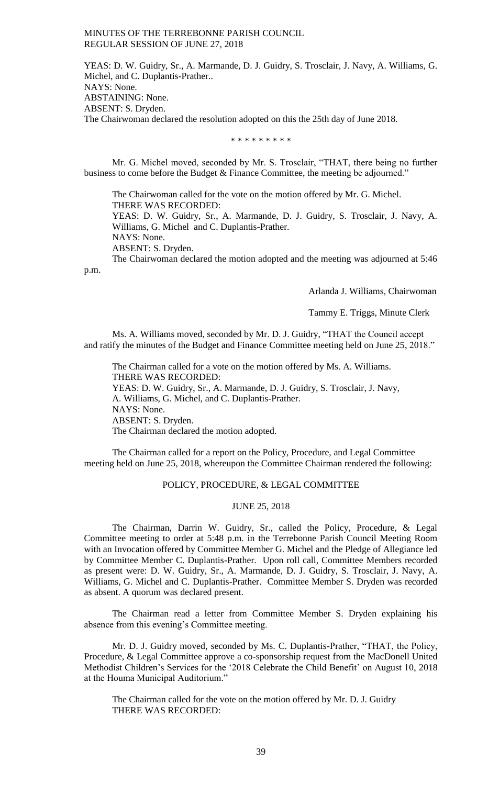YEAS: D. W. Guidry, Sr., A. Marmande, D. J. Guidry, S. Trosclair, J. Navy, A. Williams, G. Michel, and C. Duplantis-Prather.. NAYS: None. ABSTAINING: None. ABSENT: S. Dryden. The Chairwoman declared the resolution adopted on this the 25th day of June 2018.

\* \* \* \* \* \* \* \* \*

Mr. G. Michel moved, seconded by Mr. S. Trosclair, "THAT, there being no further business to come before the Budget & Finance Committee, the meeting be adjourned."

The Chairwoman called for the vote on the motion offered by Mr. G. Michel. THERE WAS RECORDED: YEAS: D. W. Guidry, Sr., A. Marmande, D. J. Guidry, S. Trosclair, J. Navy, A.

Williams, G. Michel and C. Duplantis-Prather.

NAYS: None.

ABSENT: S. Dryden.

The Chairwoman declared the motion adopted and the meeting was adjourned at 5:46 p.m.

Arlanda J. Williams, Chairwoman

Tammy E. Triggs, Minute Clerk

Ms. A. Williams moved, seconded by Mr. D. J. Guidry, "THAT the Council accept and ratify the minutes of the Budget and Finance Committee meeting held on June 25, 2018."

The Chairman called for a vote on the motion offered by Ms. A. Williams. THERE WAS RECORDED: YEAS: D. W. Guidry, Sr., A. Marmande, D. J. Guidry, S. Trosclair, J. Navy, A. Williams, G. Michel, and C. Duplantis-Prather. NAYS: None. ABSENT: S. Dryden. The Chairman declared the motion adopted.

The Chairman called for a report on the Policy, Procedure, and Legal Committee meeting held on June 25, 2018, whereupon the Committee Chairman rendered the following:

### POLICY, PROCEDURE, & LEGAL COMMITTEE

## JUNE 25, 2018

The Chairman, Darrin W. Guidry, Sr., called the Policy, Procedure, & Legal Committee meeting to order at 5:48 p.m. in the Terrebonne Parish Council Meeting Room with an Invocation offered by Committee Member G. Michel and the Pledge of Allegiance led by Committee Member C. Duplantis-Prather. Upon roll call, Committee Members recorded as present were: D. W. Guidry, Sr., A. Marmande, D. J. Guidry, S. Trosclair, J. Navy, A. Williams, G. Michel and C. Duplantis-Prather. Committee Member S. Dryden was recorded as absent. A quorum was declared present.

The Chairman read a letter from Committee Member S. Dryden explaining his absence from this evening's Committee meeting.

Mr. D. J. Guidry moved, seconded by Ms. C. Duplantis-Prather, "THAT, the Policy, Procedure, & Legal Committee approve a co-sponsorship request from the MacDonell United Methodist Children's Services for the '2018 Celebrate the Child Benefit' on August 10, 2018 at the Houma Municipal Auditorium."

The Chairman called for the vote on the motion offered by Mr. D. J. Guidry THERE WAS RECORDED: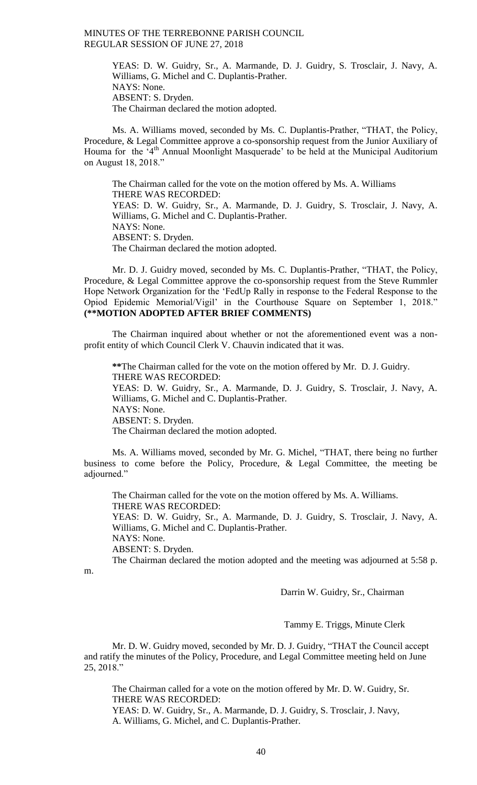YEAS: D. W. Guidry, Sr., A. Marmande, D. J. Guidry, S. Trosclair, J. Navy, A. Williams, G. Michel and C. Duplantis-Prather. NAYS: None. ABSENT: S. Dryden. The Chairman declared the motion adopted.

Ms. A. Williams moved, seconded by Ms. C. Duplantis-Prather, "THAT, the Policy, Procedure, & Legal Committee approve a co-sponsorship request from the Junior Auxiliary of Houma for the '4<sup>th</sup> Annual Moonlight Masquerade' to be held at the Municipal Auditorium on August 18, 2018."

The Chairman called for the vote on the motion offered by Ms. A. Williams THERE WAS RECORDED: YEAS: D. W. Guidry, Sr., A. Marmande, D. J. Guidry, S. Trosclair, J. Navy, A. Williams, G. Michel and C. Duplantis-Prather. NAYS: None. ABSENT: S. Dryden. The Chairman declared the motion adopted.

Mr. D. J. Guidry moved, seconded by Ms. C. Duplantis-Prather, "THAT, the Policy, Procedure, & Legal Committee approve the co-sponsorship request from the Steve Rummler Hope Network Organization for the 'FedUp Rally in response to the Federal Response to the Opiod Epidemic Memorial/Vigil' in the Courthouse Square on September 1, 2018." **(\*\*MOTION ADOPTED AFTER BRIEF COMMENTS)**

The Chairman inquired about whether or not the aforementioned event was a nonprofit entity of which Council Clerk V. Chauvin indicated that it was.

**\*\***The Chairman called for the vote on the motion offered by Mr. D. J. Guidry. THERE WAS RECORDED:

YEAS: D. W. Guidry, Sr., A. Marmande, D. J. Guidry, S. Trosclair, J. Navy, A. Williams, G. Michel and C. Duplantis-Prather.

NAYS: None.

ABSENT: S. Dryden.

The Chairman declared the motion adopted.

Ms. A. Williams moved, seconded by Mr. G. Michel, "THAT, there being no further business to come before the Policy, Procedure, & Legal Committee, the meeting be adjourned."

The Chairman called for the vote on the motion offered by Ms. A. Williams. THERE WAS RECORDED:

YEAS: D. W. Guidry, Sr., A. Marmande, D. J. Guidry, S. Trosclair, J. Navy, A. Williams, G. Michel and C. Duplantis-Prather.

NAYS: None.

ABSENT: S. Dryden.

The Chairman declared the motion adopted and the meeting was adjourned at 5:58 p.

m.

Darrin W. Guidry, Sr., Chairman

Tammy E. Triggs, Minute Clerk

Mr. D. W. Guidry moved, seconded by Mr. D. J. Guidry, "THAT the Council accept and ratify the minutes of the Policy, Procedure, and Legal Committee meeting held on June 25, 2018."

The Chairman called for a vote on the motion offered by Mr. D. W. Guidry, Sr. THERE WAS RECORDED:

YEAS: D. W. Guidry, Sr., A. Marmande, D. J. Guidry, S. Trosclair, J. Navy, A. Williams, G. Michel, and C. Duplantis-Prather.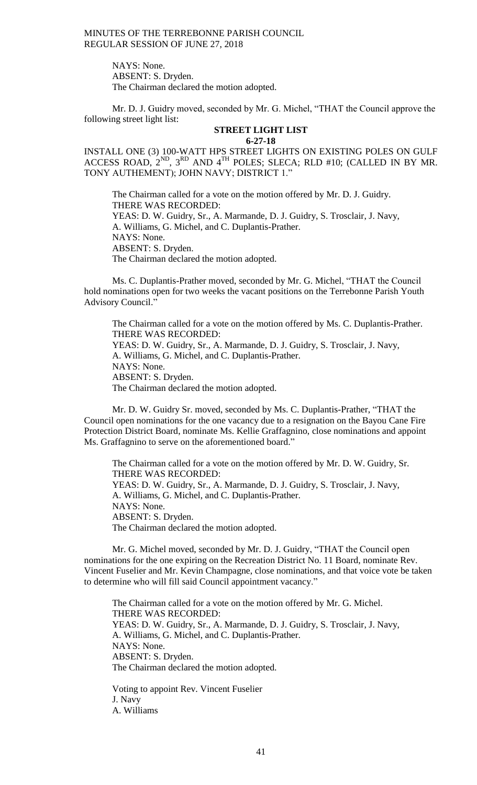> NAYS: None. ABSENT: S. Dryden. The Chairman declared the motion adopted.

Mr. D. J. Guidry moved, seconded by Mr. G. Michel, "THAT the Council approve the following street light list:

#### **STREET LIGHT LIST 6-27-18**

INSTALL ONE (3) 100-WATT HPS STREET LIGHTS ON EXISTING POLES ON GULF ACCESS ROAD,  $2^{ND}$ ,  $3^{RD}$  AND  $4^{TH}$  POLES; SLECA; RLD #10; (CALLED IN BY MR. TONY AUTHEMENT); JOHN NAVY; DISTRICT 1."

The Chairman called for a vote on the motion offered by Mr. D. J. Guidry. THERE WAS RECORDED: YEAS: D. W. Guidry, Sr., A. Marmande, D. J. Guidry, S. Trosclair, J. Navy, A. Williams, G. Michel, and C. Duplantis-Prather. NAYS: None. ABSENT: S. Dryden. The Chairman declared the motion adopted.

Ms. C. Duplantis-Prather moved, seconded by Mr. G. Michel, "THAT the Council hold nominations open for two weeks the vacant positions on the Terrebonne Parish Youth Advisory Council."

The Chairman called for a vote on the motion offered by Ms. C. Duplantis-Prather. THERE WAS RECORDED: YEAS: D. W. Guidry, Sr., A. Marmande, D. J. Guidry, S. Trosclair, J. Navy, A. Williams, G. Michel, and C. Duplantis-Prather. NAYS: None. ABSENT: S. Dryden. The Chairman declared the motion adopted.

Mr. D. W. Guidry Sr. moved, seconded by Ms. C. Duplantis-Prather, "THAT the Council open nominations for the one vacancy due to a resignation on the Bayou Cane Fire Protection District Board, nominate Ms. Kellie Graffagnino, close nominations and appoint Ms. Graffagnino to serve on the aforementioned board."

The Chairman called for a vote on the motion offered by Mr. D. W. Guidry, Sr. THERE WAS RECORDED: YEAS: D. W. Guidry, Sr., A. Marmande, D. J. Guidry, S. Trosclair, J. Navy, A. Williams, G. Michel, and C. Duplantis-Prather. NAYS: None. ABSENT: S. Dryden. The Chairman declared the motion adopted.

Mr. G. Michel moved, seconded by Mr. D. J. Guidry, "THAT the Council open nominations for the one expiring on the Recreation District No. 11 Board, nominate Rev. Vincent Fuselier and Mr. Kevin Champagne, close nominations, and that voice vote be taken to determine who will fill said Council appointment vacancy."

The Chairman called for a vote on the motion offered by Mr. G. Michel. THERE WAS RECORDED: YEAS: D. W. Guidry, Sr., A. Marmande, D. J. Guidry, S. Trosclair, J. Navy, A. Williams, G. Michel, and C. Duplantis-Prather. NAYS: None. ABSENT: S. Dryden. The Chairman declared the motion adopted.

Voting to appoint Rev. Vincent Fuselier J. Navy A. Williams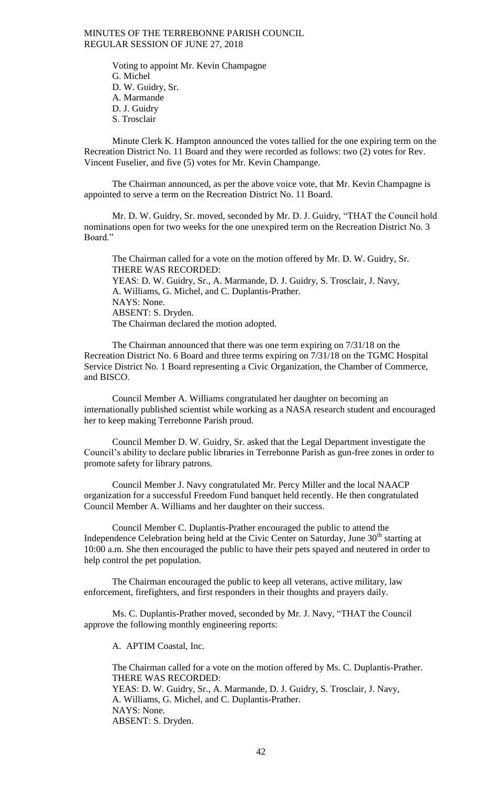Voting to appoint Mr. Kevin Champagne G. Michel D. W. Guidry, Sr. A. Marmande D. J. Guidry S. Trosclair

Minute Clerk K. Hampton announced the votes tallied for the one expiring term on the Recreation District No. 11 Board and they were recorded as follows: two (2) votes for Rev. Vincent Fuselier, and five (5) votes for Mr. Kevin Champange.

The Chairman announced, as per the above voice vote, that Mr. Kevin Champagne is appointed to serve a term on the Recreation District No. 11 Board.

Mr. D. W. Guidry, Sr. moved, seconded by Mr. D. J. Guidry, "THAT the Council hold nominations open for two weeks for the one unexpired term on the Recreation District No. 3 Board."

The Chairman called for a vote on the motion offered by Mr. D. W. Guidry, Sr. THERE WAS RECORDED: YEAS: D. W. Guidry, Sr., A. Marmande, D. J. Guidry, S. Trosclair, J. Navy, A. Williams, G. Michel, and C. Duplantis-Prather. NAYS: None. ABSENT: S. Dryden. The Chairman declared the motion adopted.

The Chairman announced that there was one term expiring on 7/31/18 on the Recreation District No. 6 Board and three terms expiring on 7/31/18 on the TGMC Hospital Service District No. 1 Board representing a Civic Organization, the Chamber of Commerce, and BISCO.

Council Member A. Williams congratulated her daughter on becoming an internationally published scientist while working as a NASA research student and encouraged her to keep making Terrebonne Parish proud.

Council Member D. W. Guidry, Sr. asked that the Legal Department investigate the Council's ability to declare public libraries in Terrebonne Parish as gun-free zones in order to promote safety for library patrons.

Council Member J. Navy congratulated Mr. Percy Miller and the local NAACP organization for a successful Freedom Fund banquet held recently. He then congratulated Council Member A. Williams and her daughter on their success.

Council Member C. Duplantis-Prather encouraged the public to attend the Independence Celebration being held at the Civic Center on Saturday, June  $30<sup>th</sup>$  starting at 10:00 a.m. She then encouraged the public to have their pets spayed and neutered in order to help control the pet population.

The Chairman encouraged the public to keep all veterans, active military, law enforcement, firefighters, and first responders in their thoughts and prayers daily.

Ms. C. Duplantis-Prather moved, seconded by Mr. J. Navy, "THAT the Council approve the following monthly engineering reports:

A. APTIM Coastal, Inc.

The Chairman called for a vote on the motion offered by Ms. C. Duplantis-Prather. THERE WAS RECORDED: YEAS: D. W. Guidry, Sr., A. Marmande, D. J. Guidry, S. Trosclair, J. Navy, A. Williams, G. Michel, and C. Duplantis-Prather. NAYS: None. ABSENT: S. Dryden.